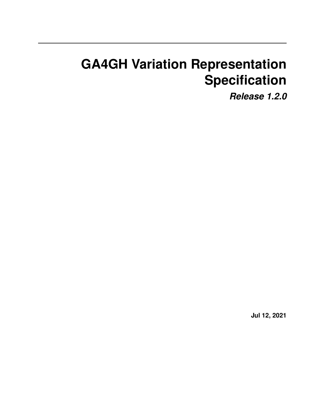# **GA4GH Variation Representation Specification**

*Release 1.2.0*

**Jul 12, 2021**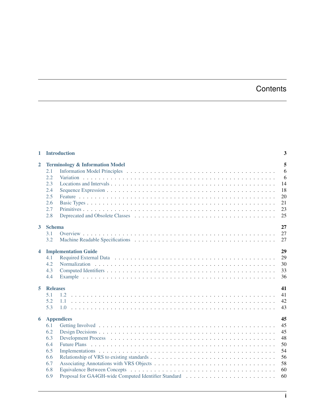## **Contents**

| $\mathbf{1}$   | <b>Introduction</b>                                                                                | 3                                                        |
|----------------|----------------------------------------------------------------------------------------------------|----------------------------------------------------------|
| $\overline{2}$ | <b>Terminology &amp; Information Model</b><br>2.1<br>2.2<br>2.3<br>2.4<br>2.5<br>2.6<br>2.7<br>2.8 | 5<br>6<br>6<br>14<br>18<br>20<br>21<br>23<br>25          |
| $\mathbf{3}$   | <b>Schema</b><br>3.1<br>3.2                                                                        | 27<br>27<br>27                                           |
| 4              | <b>Implementation Guide</b><br>4.1<br>4.2<br>4.3<br>4.4                                            | 29<br>29<br>30<br>33<br>36                               |
| 5              | <b>Releases</b><br>5.1<br>1.2<br>5.2<br>1.1<br>5.3                                                 | 41<br>41<br>42<br>43                                     |
| 6              | <b>Appendices</b><br>6.1<br>6.2<br>6.3<br>6.4<br>6.5<br>6.6<br>6.7<br>6.8<br>6.9                   | 45<br>45<br>45<br>48<br>50<br>54<br>56<br>58<br>60<br>60 |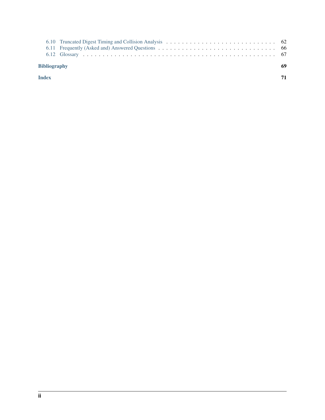|              | <b>Bibliography</b> |  |
|--------------|---------------------|--|
| <b>Index</b> |                     |  |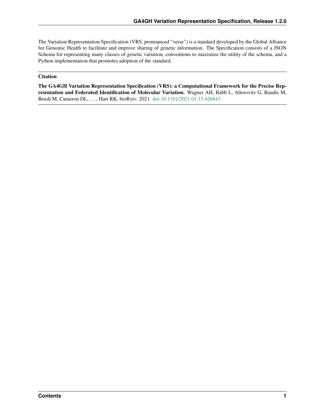The Variation Representation Specification (VRS, pronounced "verse") is a standard developed by the Global Alliance for Genomic Health to facilitate and improve sharing of genetic information. The Specification consists of a JSON Schema for representing many classes of genetic variation, conventions to maximize the utility of the schema, and a Python implementation that promotes adoption of the standard.

### **Citation**

The GA4GH Variation Representation Specification (VRS): a Computational Framework for the Precise Representation and Federated Identification of Molecular Variation. Wagner AH, Babb L, Alterovitz G, Baudis M, Brush M, Cameron DL, . . . , Hart RK. bioRxiv. 2021. [doi:10.1101/2021.01.15.426843](https://www.biorxiv.org/content/10.1101/2021.01.15.426843v1)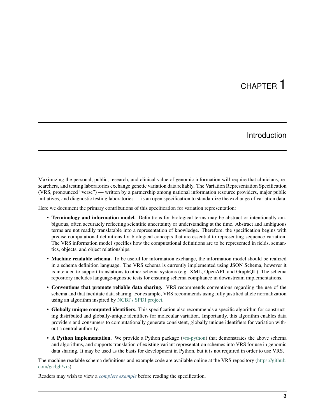# CHAPTER 1

## Introduction

<span id="page-6-0"></span>Maximizing the personal, public, research, and clinical value of genomic information will require that clinicians, researchers, and testing laboratories exchange genetic variation data reliably. The Variation Representation Specification (VRS, pronounced "verse") — written by a partnership among national information resource providers, major public initiatives, and diagnostic testing laboratories — is an open specification to standardize the exchange of variation data.

Here we document the primary contributions of this specification for variation representation:

- Terminology and information model. Definitions for biological terms may be abstract or intentionally ambiguous, often accurately reflecting scientific uncertainty or understanding at the time. Abstract and ambiguous terms are not readily translatable into a representation of knowledge. Therefore, the specification begins with precise computational definitions for biological concepts that are essential to representing sequence variation. The VRS information model specifies how the computational definitions are to be represented in fields, semantics, objects, and object relationships.
- Machine readable schema. To be useful for information exchange, the information model should be realized in a schema definition language. The VRS schema is currently implemented using JSON Schema, however it is intended to support translations to other schema systems (e.g. XML, OpenAPI, and GraphQL). The schema repository includes language-agnostic tests for ensuring schema compliance in downstream implementations.
- Conventions that promote reliable data sharing. VRS recommends conventions regarding the use of the schema and that facilitate data sharing. For example, VRS recommends using fully justified allele normalization using an algorithm inspired by [NCBI's SPDI project.](https://www.biorxiv.org/content/10.1101/537449v1)
- Globally unique computed identifiers. This specification also recommends a specific algorithm for constructing distributed and globally-unique identifiers for molecular variation. Importantly, this algorithm enables data providers and consumers to computationally generate consistent, globally unique identifiers for variation without a central authority.
- A Python implementation. We provide a Python package [\(vrs-python\)](https://github.com/ga4gh/vrs-python/) that demonstrates the above schema and algorithms, and supports translation of existing variant representation schemes into VRS for use in genomic data sharing. It may be used as the basis for development in Python, but it is not required in order to use VRS.

The machine readable schema definitions and example code are available online at the VRS repository [\(https://github.](https://github.com/ga4gh/vrs) [com/ga4gh/vrs\)](https://github.com/ga4gh/vrs).

Readers may wish to view a *[complete example](#page-39-0)* before reading the specification.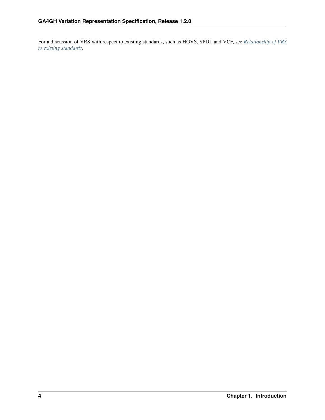For a discussion of VRS with respect to existing standards, such as HGVS, SPDI, and VCF, see *[Relationship of VRS](#page-59-0) [to existing standards](#page-59-0)*.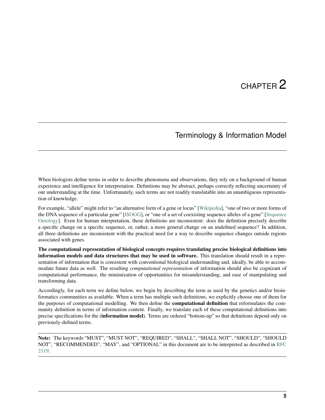# CHAPTER 2

## Terminology & Information Model

<span id="page-8-0"></span>When biologists define terms in order to describe phenomena and observations, they rely on a background of human experience and intelligence for interpretation. Definitions may be abstract, perhaps correctly reflecting uncertainty of our understanding at the time. Unfortunately, such terms are not readily translatable into an unambiguous representation of knowledge.

For example, "allele" might refer to "an alternative form of a gene or locus" [\[Wikipedia\]](https://en.wikipedia.org/wiki/Allele), "one of two or more forms of the DNA sequence of a particular gene" [\[ISOGG\]](https://isogg.org/wiki/Allele), or "one of a set of coexisting sequence alleles of a gene" [\[Sequence](http://www.sequenceontology.org/browser/current_svn/term/SO:0001023) [Ontology\]](http://www.sequenceontology.org/browser/current_svn/term/SO:0001023). Even for human interpretation, these definitions are inconsistent: does the definition precisely describe a specific change on a specific sequence, or, rather, a more general change on an undefined sequence? In addition, all three definitions are inconsistent with the practical need for a way to describe sequence changes outside regions associated with genes.

The computational representation of biological concepts requires translating precise biological definitions into information models and data structures that may be used in software. This translation should result in a representation of information that is consistent with conventional biological understanding and, ideally, be able to accommodate future data as well. The resulting *computational representation* of information should also be cognizant of computational performance, the minimization of opportunities for misunderstanding, and ease of manipulating and transforming data.

Accordingly, for each term we define below, we begin by describing the term as used by the genetics and/or bioinformatics communities as available. When a term has multiple such definitions, we explicitly choose one of them for the purposes of computational modelling. We then define the **computational definition** that reformulates the community definition in terms of information content. Finally, we translate each of these computational definitions into precise specifications for the (information model). Terms are ordered "bottom-up" so that definitions depend only on previously-defined terms.

Note: The keywords "MUST", "MUST NOT", "REQUIRED", "SHALL", "SHALL NOT", "SHOULD", "SHOULD NOT", "RECOMMENDED", "MAY", and "OPTIONAL" in this document are to be interpreted as described in [RFC](https://www.ietf.org/rfc/rfc2119.txt) [2119.](https://www.ietf.org/rfc/rfc2119.txt)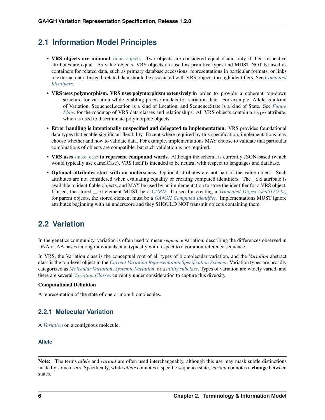## <span id="page-9-0"></span>**2.1 Information Model Principles**

- VRS objects are minimal [value objects.](https://en.wikipedia.org/wiki/Value_object) Two objects are considered equal if and only if their respective attributes are equal. As value objects, VRS objects are used as primitive types and MUST NOT be used as containers for related data, such as primary database accessions, representations in particular formats, or links to external data. Instead, related data should be associated with VRS objects through identifiers. See *[Computed](#page-36-0) [Identifiers](#page-36-0)*.
- VRS uses polymorphism. VRS uses polymorphism extensively in order to provide a coherent top-down structure for variation while enabling precise models for variation data. For example, Allele is a kind of Variation, SequenceLocation is a kind of Location, and SequenceState is a kind of State. See *[Future](#page-53-0) [Plans](#page-53-0)* for the roadmap of VRS data classes and relationships. All VRS objects contain a type attribute, which is used to discriminate polymorphic objects.
- Error handling is intentionally unspecified and delegated to implementation. VRS provides foundational data types that enable significant flexibility. Except where required by this specification, implementations may choose whether and how to validate data. For example, implementations MAY choose to validate that particular combinations of objects are compatible, but such validation is not required.
- VRS uses [snake\\_case](https://simple.wikipedia.org/wiki/Snake_case) to represent compound words. Although the schema is currently JSON-based (which would typically use camelCase), VRS itself is intended to be neutral with respect to languages and database.
- Optional attributes start with an underscore. Optional attributes are not part of the value object. Such attributes are not considered when evaluating equality or creating computed identifiers. The \_id attribute is available to identifiable objects, and MAY be used by an implementation to store the identifier for a VRS object. If used, the stored \_id element MUST be a *[CURIE](#page-26-1)*. If used for creating a *[Truncated Digest \(sha512t24u\)](#page-38-0)* for parent objects, the stored element must be a *[GA4GH Computed Identifier](#page-39-1)*. Implementations MUST ignore attributes beginning with an underscore and they SHOULD NOT transmit objects containing them.

## <span id="page-9-1"></span>**2.2 Variation**

In the genetics community, variation is often used to mean *sequence* variation, describing the differences observed in DNA or AA bases among individuals, and typically with respect to a common reference sequence.

In VRS, the Variation class is the conceptual root of all types of biomolecular variation, and the *Variation* abstract class is the top-level object in the *[Current Variation Representation Specification Schema](#page-31-0)*. Variation types are broadly categorized as *[Molecular Variation](#page-9-2)*, *[Systemic Variation](#page-13-0)*, or a *[utility subclass](#page-14-0)*. Types of variation are widely varied, and there are several *[Variation Classes](#page-55-0)* currently under consideration to capture this diversity.

### Computational Definition

A representation of the state of one or more biomolecules.

## <span id="page-9-2"></span>**2.2.1 Molecular Variation**

A *[Variation](#page-9-1)* on a contiguous molecule.

### <span id="page-9-3"></span>**Allele**

Note: The terms *allele* and *variant* are often used interchangeably, although this use may mask subtle distinctions made by some users. Specifically, while *allele* connotes a specific sequence state, *variant* connotes a change between states.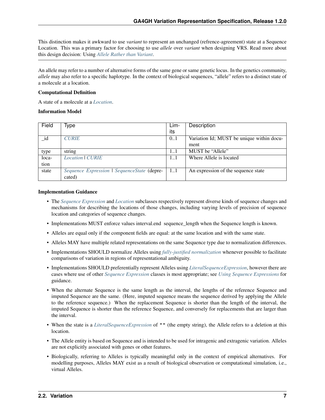This distinction makes it awkward to use *variant* to represent an unchanged (refrence-agreement) state at a Sequence Location. This was a primary factor for choosing to use *allele* over *variant* when designing VRS. Read more about this design decision: Using *[Allele Rather than Variant](#page-49-0)*.

An allele may refer to a number of alternative forms of the same gene or same genetic locus. In the genetics community, *allele* may also refer to a specific haplotype. In the context of biological sequences, "allele" refers to a distinct state of a molecule at a location.

### Computational Definition

A state of a molecule at a *[Location](#page-17-1)*.

### Information Model

| Field | Type                                        | Lim- | Description                               |
|-------|---------------------------------------------|------|-------------------------------------------|
|       |                                             | its  |                                           |
| _id   | <b>CURIE</b>                                | 0.1  | Variation Id; MUST be unique within docu- |
|       |                                             |      | ment                                      |
| type  | string                                      | 11   | MUST be "Allele"                          |
| loca- | Location   CURIE                            | 11   | Where Allele is located                   |
| tion  |                                             |      |                                           |
| state | Sequence Expression   SequenceState (depre- | 11   | An expression of the sequence state       |
|       | cated)                                      |      |                                           |

### Implementation Guidance

- The *[Sequence Expression](#page-21-0)* and *[Location](#page-17-1)* subclasses respectively represent diverse kinds of sequence changes and mechanisms for describing the locations of those changes, including varying levels of precision of sequence location and categories of sequence changes.
- Implementations MUST enforce values interval.end sequence\_length when the Sequence length is known.
- Alleles are equal only if the component fields are equal: at the same location and with the same state.
- Alleles MAY have multiple related representations on the same Sequence type due to normalization differences.
- Implementations SHOULD normalize Alleles using *[fully-justified normalization](#page-33-0)* whenever possible to facilitate comparisons of variation in regions of representational ambiguity.
- Implementations SHOULD preferentially represent Alleles using *[LiteralSequenceExpression](#page-21-1)*, however there are cases where use of other *[Sequence Expression](#page-21-0)* classes is most appropriate; see *[Using Sequence Expressions](#page-63-2)* for guidance.
- When the alternate Sequence is the same length as the interval, the lengths of the reference Sequence and imputed Sequence are the same. (Here, imputed sequence means the sequence derived by applying the Allele to the reference sequence.) When the replacement Sequence is shorter than the length of the interval, the imputed Sequence is shorter than the reference Sequence, and conversely for replacements that are larger than the interval.
- When the state is a *[LiteralSequenceExpression](#page-21-1)* of "" (the empty string), the Allele refers to a deletion at this location.
- The Allele entity is based on Sequence and is intended to be used for intragenic and extragenic variation. Alleles are not explicitly associated with genes or other features.
- Biologically, referring to Alleles is typically meaningful only in the context of empirical alternatives. For modelling purposes, Alleles MAY exist as a result of biological observation or computational simulation, i.e., virtual Alleles.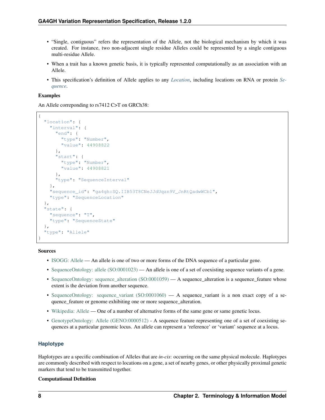- "Single, contiguous" refers the representation of the Allele, not the biological mechanism by which it was created. For instance, two non-adjacent single residue Alleles could be represented by a single contiguous multi-residue Allele.
- When a trait has a known genetic basis, it is typically represented computationally as an association with an Allele.
- This specification's definition of Allele applies to any *[Location](#page-17-1)*, including locations on RNA or protein *[Se](#page-27-0)[quence](#page-27-0)*.

### Examples

An Allele correponding to rs7412 C>T on GRCh38:

```
{
  "location": {
    "interval": {
      "end": {
       "type": "Number",
        "value": 44908822
      },
      "start": {
        "type": "Number",
        "value": 44908821
      },
      "type": "SequenceInterval"
    },
    "sequence_id": "ga4gh:SQ.IIB53T8CNeJJdUqzn9V_JnRtQadwWCbl",
    "type": "SequenceLocation"
  },
  "state": {
    "sequence": "T",
    "type": "SequenceState"
  },
  "type": "Allele"
}
```
Sources

- [ISOGG: Allele](http://isogg.org/wiki/Allele) An allele is one of two or more forms of the DNA sequence of a particular gene.
- [SequenceOntology: allele \(SO:0001023\)](http://www.sequenceontology.org/browser/current_svn/term/SO:0001023) An allele is one of a set of coexisting sequence variants of a gene.
- [SequenceOntology: sequence\\_alteration \(SO:0001059\)](http://www.sequenceontology.org/browser/current_svn/term/SO:0001059) A sequence\_alteration is a sequence\_feature whose extent is the deviation from another sequence.
- [SequenceOntology: sequence\\_variant \(SO:0001060\)](http://www.sequenceontology.org/browser/current_svn/term/SO:0001060) A sequence\_variant is a non exact copy of a sequence\_feature or genome exhibiting one or more sequence\_alteration.
- [Wikipedia: Allele](https://en.wikipedia.org/wiki/Allele) One of a number of alternative forms of the same gene or same genetic locus.
- [GenotypeOntology: Allele \(GENO:0000512\)](http://purl.obolibrary.org/obo/GENO_0000512) A sequence feature representing one of a set of coexisting sequences at a particular genomic locus. An allele can represent a 'reference' or 'variant' sequence at a locus.

### **Haplotype**

Haplotypes are a specific combination of Alleles that are *in-cis*: occurring on the same physical molecule. Haplotypes are commonly described with respect to locations on a gene, a set of nearby genes, or other physically proximal genetic markers that tend to be transmitted together.

### Computational Definition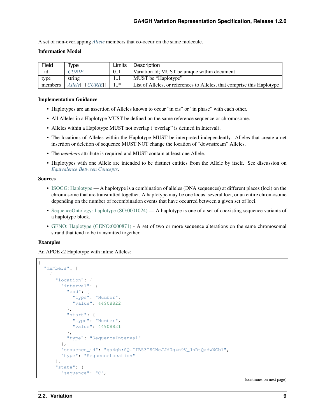A set of non-overlapping *[Allele](#page-9-3)* members that co-occur on the same molecule.

### Information Model

| Field   | Tvpe                                      | Limits | Description                                                             |  |
|---------|-------------------------------------------|--------|-------------------------------------------------------------------------|--|
| id      | <b>CURIE</b>                              | 0.1    | Variation Id: MUST be unique within document                            |  |
| type    | string                                    | 11     | MUST be "Haplotype"                                                     |  |
| members | $\lceil$ Allele $\lceil$   CURIE $\lceil$ | $1.*$  | List of Alleles, or references to Alleles, that comprise this Haplotype |  |

#### Implementation Guidance

- Haplotypes are an assertion of Alleles known to occur "in cis" or "in phase" with each other.
- All Alleles in a Haplotype MUST be defined on the same reference sequence or chromosome.
- Alleles within a Haplotype MUST not overlap ("overlap" is defined in Interval).
- The locations of Alleles within the Haplotype MUST be interpreted independently. Alleles that create a net insertion or deletion of sequence MUST NOT change the location of "downstream" Alleles.
- The *members* attribute is required and MUST contain at least one Allele.
- Haplotypes with one Allele are intended to be distinct entities from the Allele by itself. See discussion on *[Equivalence Between Concepts](#page-63-0)*.

#### Sources

- [ISOGG: Haplotype](https://isogg.org/wiki/Haplotype) A haplotype is a combination of alleles (DNA sequences) at different places (loci) on the chromosome that are transmitted together. A haplotype may be one locus, several loci, or an entire chromosome depending on the number of recombination events that have occurred between a given set of loci.
- [SequenceOntology: haplotype \(SO:0001024\)](http://www.sequenceontology.org/browser/current_release/term/SO:0001024) A haplotype is one of a set of coexisting sequence variants of a haplotype block.
- [GENO: Haplotype \(GENO:0000871\)](http://www.ontobee.org/ontology/GENO?iri=http://purl.obolibrary.org/obo/GENO_0000871) A set of two or more sequence alterations on the same chromosomal strand that tend to be transmitted together.

### Examples

An APOE  $\epsilon$ 2 Haplotype with inline Alleles:

```
{
  "members": [
   {
      "location": {
        "interval": {
          "end": {
            "type": "Number",
            "value": 44908822
          },
          "start": {
            "type": "Number",
            "value": 44908821
          },
          "type": "SequenceInterval"
        },
        "sequence_id": "ga4gh:SQ.IIB53T8CNeJJdUqzn9V_JnRtQadwWCbl",
        "type": "SequenceLocation"
      },
      "state": {
        "sequence": "C",
```
(continues on next page)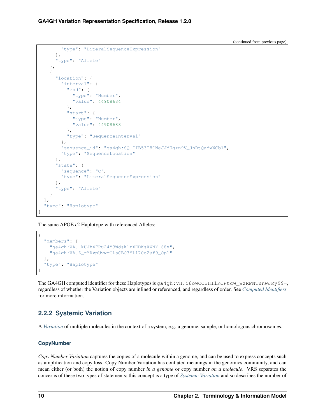(continued from previous page)

```
"type": "LiteralSequenceExpression"
      },
      "type": "Allele"
   },
    {
      "location": {
       "interval": {
          "end": {
            "type": "Number",
            "value": 44908684
          },
          "start": {
           "type": "Number",
            "value": 44908683
          },
          "type": "SequenceInterval"
        },
        "sequence_id": "ga4gh:SQ.IIB53T8CNeJJdUqzn9V_JnRtQadwWCbl",
        "type": "SequenceLocation"
      },
      "state": {
        "sequence": "C",
        "type": "LiteralSequenceExpression"
      },
      "type": "Allele"
   }
 ],
  "type": "Haplotype"
}
```
The same APOE  $\epsilon$ 2 Haplotype with referenced Alleles:

```
{
  "members": [
    "ga4gh:VA.-kUJh47Pu24Y3Wdsk1rXEDKsXWNY-68x",
    "ga4gh:VA.Z_rYRxpUvwqCLsCBO3YLl70o2uf9_Op1"
 \frac{1}{2},
  "type": "Haplotype"
}
```
The GA4GH computed identifier for these Haplotypes is ga4gh:VH.i8owCOBHIlRCPtcw\_WzRFNTunwJRy99-, regardless of whether the Variation objects are inlined or referenced, and regardless of order. See *[Computed Identifiers](#page-36-0)* for more information.

## <span id="page-13-0"></span>**2.2.2 Systemic Variation**

A *[Variation](#page-9-1)* of multiple molecules in the context of a system, e.g. a genome, sample, or homologous chromosomes.

### **CopyNumber**

*Copy Number Variation* captures the copies of a molecule within a genome, and can be used to express concepts such as amplification and copy loss. Copy Number Variation has conflated meanings in the genomics community, and can mean either (or both) the notion of copy number *in a genome* or copy number *on a molecule*. VRS separates the concerns of these two types of statements; this concept is a type of *[Systemic Variation](#page-13-0)* and so describes the number of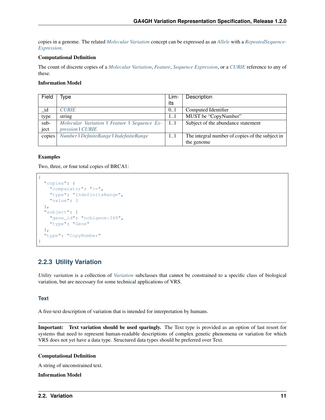copies in a genome. The related *[Molecular Variation](#page-9-2)* concept can be expressed as an *[Allele](#page-9-3)* with a *[RepeatedSequence-](#page-22-0)[Expression](#page-22-0)*.

### Computational Definition

The count of discrete copies of a *[Molecular Variation](#page-9-2)*, *[Feature](#page-23-0)*, *[Sequence Expression](#page-21-0)*, or a *[CURIE](#page-26-1)* reference to any of these.

### Information Model

| Field  | Type                                         | Lim- | Description                                     |
|--------|----------------------------------------------|------|-------------------------------------------------|
|        |                                              | its  |                                                 |
| id     | <b>CURIE</b>                                 | 0.1  | Computed Identifier                             |
| type   | string                                       | 11   | MUST be "CopyNumber"                            |
| $sub-$ | Molecular Variation   Feature   Sequence Ex- | 11   | Subject of the abundance statement              |
| ject   | pression   CURIE                             |      |                                                 |
| copies | Number   DefiniteRange   IndefiniteRange     | 11   | The integral number of copies of the subject in |
|        |                                              |      | the genome                                      |

### Examples

Two, three, or four total copies of BRCA1:

```
{
 "copies": {
    "comparator": ">=",
    "type": "IndefiniteRange",
    "value": 3
  },
  "subject": {
    "gene_id": "ncbigene:348",
    "type": "Gene"
  },
  "type": "CopyNumber"
}
```
## <span id="page-14-0"></span>**2.2.3 Utility Variation**

*Utility variation* is a collection of *[Variation](#page-9-1)* subclasses that cannot be constrained to a specific class of biological variation, but are necessary for some technical applications of VRS.

### **Text**

A free-text description of variation that is intended for interpretation by humans.

Important: Text variation should be used sparingly. The Text type is provided as an option of last resort for systems that need to represent human-readable descriptions of complex genetic phenomena or variation for which VRS does not yet have a data type. Structured data types should be preferred over Text.

### Computational Definition

A string of unconstrained text.

### Information Model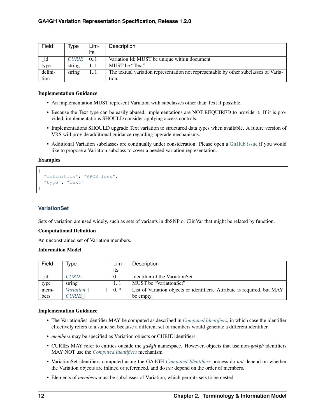| Field   | Type         | Lim- | Description                                                                          |
|---------|--------------|------|--------------------------------------------------------------------------------------|
|         |              | its  |                                                                                      |
| 1d      | <b>CURIE</b> | 0.1  | Variation Id; MUST be unique within document                                         |
| type    | string       |      | MUST be "Text"                                                                       |
| defini- | string       | 11   | The textual variation representation not representable by other subclasses of Varia- |
| tion    |              |      | tion.                                                                                |

### Implementation Guidance

- An implementation MUST represent Variation with subclasses other than Text if possible.
- Because the Text type can be easily abused, implementations are NOT REQUIRED to provide it. If it is provided, implementations SHOULD consider applying access controls.
- Implementations SHOULD upgrade Text variation to structured data types when available. A future version of VRS will provide additional guidance regarding upgrade mechanisms.
- Additional Variation subclasses are continually under consideration. Please open a [GitHub issue](https://github.com/ga4gh/vrs/issues) if you would like to propose a Variation subclass to cover a needed variation representation.

### Examples

```
{
  "definition": "APOE loss",
  "type": "Text
}
```
### **VariationSet**

Sets of variation are used widely, such as sets of variants in dbSNP or ClinVar that might be related by function.

### Computational Definition

An unconstrained set of Variation members.

### Information Model

| Field | Type                           | ∟im-   | Description                                                              |
|-------|--------------------------------|--------|--------------------------------------------------------------------------|
|       |                                | its    |                                                                          |
| _id   | <b>CURIE</b>                   | 0.1    | Identifier of the VariationSet.                                          |
| type  | string                         | 11     | MUST be "VariationSet"                                                   |
| mem-  | <i>Variation</i> <sub>[]</sub> | $0.$ * | List of Variation objects or identifiers. Attribute is required, but MAY |
| bers  | <b>CURIE</b> []                |        | be empty.                                                                |

### Implementation Guidance

- The VariationSet identifier MAY be computed as described in *[Computed Identifiers](#page-36-0)*, in which case the identifier effectively refers to a static set because a different set of members would generate a different identifier.
- *members* may be specified as Variation objects or CURIE identifiers.
- CURIEs MAY refer to entities outside the *ga4gh* namespace. However, objects that use non-*ga4gh* identifiers MAY NOT use the *[Computed Identifiers](#page-36-0)* mechanism.
- VariationSet identifiers computed using the GA4GH *[Computed Identifiers](#page-36-0)* process do *not* depend on whether the Variation objects are inlined or referenced, and do *not* depend on the order of members.
- Elements of *members* must be subclasses of Variation, which permits sets to be nested.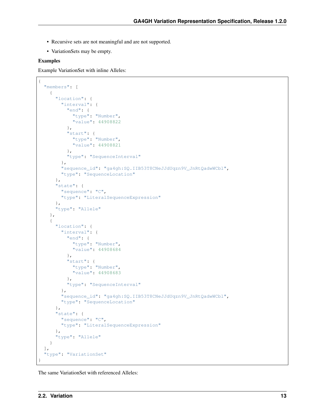- Recursive sets are not meaningful and are not supported.
- VariationSets may be empty.

### Examples

{

Example VariationSet with inline Alleles:

```
"members": [
   {
     "location": {
        "interval": {
         "end": {
           "type": "Number",
           "value": 44908822
          },
          "start": {
           "type": "Number",
            "value": 44908821
          },
          "type": "SequenceInterval"
       },
        "sequence_id": "ga4gh:SQ.IIB53T8CNeJJdUqzn9V_JnRtQadwWCbl",
        "type": "SequenceLocation"
     },
      "state": {
       "sequence": "C",
        "type": "LiteralSequenceExpression"
     },
      "type": "Allele"
   },
   {
     "location": {
        "interval": {
          "end": {
           "type": "Number",
            "value": 44908684
          },
          "start": {
           "type": "Number",
           "value": 44908683
          },
          "type": "SequenceInterval"
        },
        "sequence_id": "ga4gh:SQ.IIB53T8CNeJJdUqzn9V_JnRtQadwWCbl",
        "type": "SequenceLocation"
      },
      "state": {
        "sequence": "C",
        "type": "LiteralSequenceExpression"
     },
     "type": "Allele"
   }
 ],
  "type": "VariationSet"
}
```
The same VariationSet with referenced Alleles: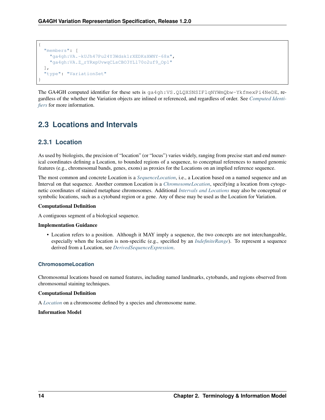

The GA4GH computed identifier for these sets is ga4gh:VS.QLQXSNSIFlqNYWmQbw-YkfmexPi4NeDE, regardless of the whether the Variation objects are inlined or referenced, and regardless of order. See *[Computed Identi](#page-36-0)[fiers](#page-36-0)* for more information.

## <span id="page-17-0"></span>**2.3 Locations and Intervals**

## <span id="page-17-1"></span>**2.3.1 Location**

As used by biologists, the precision of "location" (or "locus") varies widely, ranging from precise start and end numerical coordinates defining a Location, to bounded regions of a sequence, to conceptual references to named genomic features (e.g., chromosomal bands, genes, exons) as proxies for the Locations on an implied reference sequence.

The most common and concrete Location is a *[SequenceLocation](#page-18-0)*, i.e., a Location based on a named sequence and an Interval on that sequence. Another common Location is a *[ChromosomeLocation](#page-17-2)*, specifying a location from cytogenetic coordinates of stained metaphase chromosomes. Additional *[Intervals and Locations](#page-53-1)* may also be conceptual or symbolic locations, such as a cytoband region or a gene. Any of these may be used as the Location for Variation.

### Computational Definition

A contiguous segment of a biological sequence.

### Implementation Guidance

• Location refers to a position. Although it MAY imply a sequence, the two concepts are not interchangeable, especially when the location is non-specific (e.g., specified by an *[IndefiniteRange](#page-25-1)*). To represent a sequence derived from a Location, see *[DerivedSequenceExpression](#page-22-1)*.

### <span id="page-17-2"></span>**ChromosomeLocation**

Chromosomal locations based on named features, including named landmarks, cytobands, and regions observed from chromosomal staining techniques.

### Computational Definition

A *[Location](#page-17-1)* on a chromosome defined by a species and chromosome name.

### Information Model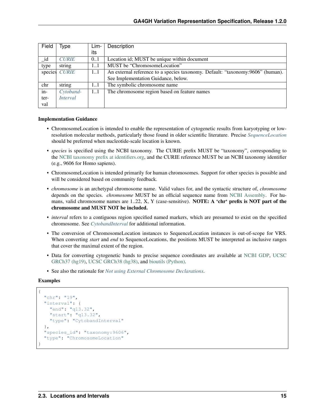| Field   | Type            | Lim- | Description                                                                    |
|---------|-----------------|------|--------------------------------------------------------------------------------|
|         |                 | its  |                                                                                |
| _id     | <b>CURIE</b>    | 0.1  | Location id; MUST be unique within document                                    |
| type    | string          | 11   | MUST be "ChromosomeLocation"                                                   |
| species | <b>CURIE</b>    | 11   | An external reference to a species taxonomy. Default: "taxonomy:9606" (human). |
|         |                 |      | See Implementation Guidance, below.                                            |
| chr     | string          | 11   | The symbolic chromosome name                                                   |
| $in-$   | Cytoband-       | 11   | The chromosome region based on feature names                                   |
| ter-    | <i>Interval</i> |      |                                                                                |
| val     |                 |      |                                                                                |

### Implementation Guidance

- ChromosomeLocation is intended to enable the representation of cytogenetic results from karyotyping or lowresolution molecular methods, particularly those found in older scientific literature. Precise *[SequenceLocation](#page-18-0)* should be preferred when nucleotide-scale location is known.
- *species* is specified using the NCBI taxonomy. The CURIE prefix MUST be "taxonomy", corresponding to the [NCBI taxonomy prefix at identifiers.org,](https://registry.identifiers.org/registry/taxonomy) and the CURIE reference MUST be an NCBI taxonomy identifier (e.g., 9606 for Homo sapiens).
- ChromosomeLocation is intended primarily for human chromosomes. Support for other species is possible and will be considered based on community feedback.
- *chromosome* is an archetypal chromosome name. Valid values for, and the syntactic structure of, *chromosome* depends on the species. *chromosome* MUST be an official sequence name from [NCBI Assembly.](https://www.ncbi.nlm.nih.gov/assembly) For humans, valid chromosome names are 1..22, X, Y (case-sensitive). **NOTE:** A 'chr' prefix is **NOT** part of the chromosome and MUST NOT be included.
- *interval* refers to a contiguous region specified named markers, which are presumed to exist on the specified chromosome. See *[CytobandInterval](#page-20-0)* for additional information.
- The conversion of ChromosomeLocation instances to SequenceLocation instances is out-of-scope for VRS. When converting *start* and *end* to SequenceLocations, the positions MUST be interpreted as inclusive ranges that cover the maximal extent of the region.
- Data for converting cytogenetic bands to precise sequence coordinates are available at [NCBI GDP,](https://ftp.ncbi.nlm.nih.gov/pub/gdp/) [UCSC](http://hgdownload.cse.ucsc.edu/goldenPath/hg19/database/cytoBand.txt.gz) [GRCh37 \(hg19\),](http://hgdownload.cse.ucsc.edu/goldenPath/hg19/database/cytoBand.txt.gz) [UCSC GRCh38 \(hg38\),](http://hgdownload.cse.ucsc.edu/goldenPath/hg38/database/cytoBand.txt.gz) and [bioutils \(Python\).](https://bioutils.readthedocs.io/en/stable/reference/bioutils.cytobands.html)
- See also the rationale for *[Not using External Chromosome Declarations](#page-51-1)*.

#### Examples

```
{
  "chr": "19",
  "interval": {
    "end": "q13.32",
    "start": "q13.32",
    "type": "CytobandInterval"
 },
  "species_id": "taxonomy:9606",
  "type": "ChromosomeLocation"
}
```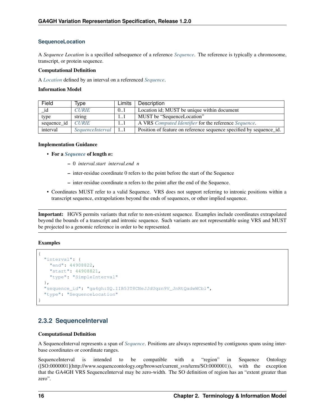### **SequenceLocation**

A *Sequence Location* is a specified subsequence of a reference *[Sequence](#page-27-0)*. The reference is typically a chromosome, transcript, or protein sequence.

### Computational Definition

A *[Location](#page-17-1)* defined by an interval on a referenced *[Sequence](#page-27-0)*.

### Information Model

| Field                     | Type                        | Limits | Description                                                         |  |
|---------------------------|-----------------------------|--------|---------------------------------------------------------------------|--|
| <b>CURIE</b><br>id<br>0.1 |                             |        | Location id; MUST be unique within document                         |  |
| type                      | string                      | 11     | MUST be "SequenceLocation"                                          |  |
| sequence_id               | <b>CURIE</b>                | 11     | A VRS Computed Identifier for the reference Sequence.               |  |
| interval                  | $SequenceInterval \mid 1.1$ |        | Position of feature on reference sequence specified by sequence id. |  |

### Implementation Guidance

- For a *[Sequence](#page-27-0)* of length *n*:
	- 0 *interval.start interval.end n*
	- inter-residue coordinate 0 refers to the point before the start of the Sequence
	- inter-residue coordinate n refers to the point after the end of the Sequence.
- Coordinates MUST refer to a valid Sequence. VRS does not support referring to intronic positions within a transcript sequence, extrapolations beyond the ends of sequences, or other implied sequence.

Important: HGVS permits variants that refer to non-existent sequence. Examples include coordinates extrapolated beyond the bounds of a transcript and intronic sequence. Such variants are not representable using VRS and MUST be projected to a genomic reference in order to be represented.

### Examples

```
{
  "interval": {
   "end": 44908822,
    "start": 44908821,
    "type": "SimpleInterval"
  },
  "sequence_id": "ga4gh:SQ.IIB53T8CNeJJdUqzn9V_JnRtQadwWCbl",
  "type": "SequenceLocation"
}
```
## <span id="page-19-0"></span>**2.3.2 SequenceInterval**

### Computational Definition

A SequenceInterval represents a span of *[Sequence](#page-27-0)*. Positions are always represented by contiguous spans using interbase coordinates or coordinate ranges.

SequenceInterval is intended to be compatible with a "region" in Sequence Ontology ([SO:0000001](http://www.sequenceontology.org/browser/current\_svn/term/SO:0000001)), with the exception that the GA4GH VRS SequenceInterval may be zero-width. The SO definition of region has an "extent greater than zero".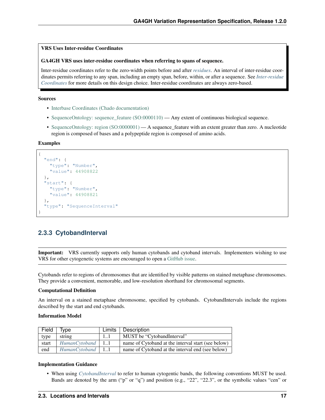### VRS Uses Inter-residue Coordinates

### GA4GH VRS uses inter-residue coordinates when referring to spans of sequence.

Inter-residue coordinates refer to the zero-width points before and after *[residues](#page-27-1)*. An interval of inter-residue coordinates permits referring to any span, including an empty span, before, within, or after a sequence. See *[Inter-residue](#page-50-0) [Coordinates](#page-50-0)* for more details on this design choice. Inter-residue coordinates are always zero-based.

### Sources

- [Interbase Coordinates \(Chado documentation\)](http://gmod.org/wiki/Introduction_to_Chado#Interbase_Coordinates)
- SequenceOntology: sequence feature (SO:0000110) Any extent of continuous biological sequence.
- [SequenceOntology: region \(SO:0000001\)](http://www.sequenceontology.org/miso/current_svn/term/SO:0000001) A sequence feature with an extent greater than zero. A nucleotide region is composed of bases and a polypeptide region is composed of amino acids.

### Examples

```
{
  "end": {
    "type": "Number",
    "value": 44908822
 },
  "start": {
    "type": "Number",
    "value": 44908821
  },
  "type": "SequenceInterval"
}
```
### <span id="page-20-0"></span>**2.3.3 CytobandInterval**

Important: VRS currently supports only human cytobands and cytoband intervals. Implementers wishing to use VRS for other cytogenetic systems are encouraged to open a [GitHub issue.](https://github.com/ga4gh/vrs/issues)

Cytobands refer to regions of chromosomes that are identified by visible patterns on stained metaphase chromosomes. They provide a convenient, memorable, and low-resolution shorthand for chromosomal segments.

#### Computational Definition

An interval on a stained metaphase chromosome, specified by cytobands. CytobandIntervals include the regions described by the start and end cytobands.

#### Information Model

| Field | Tvpe                  | Limits | Description                                        |
|-------|-----------------------|--------|----------------------------------------------------|
| type  | string                | -11    | MUST be "CytobandInterval"                         |
| start | $HumanCVtoband$   11  |        | name of Cytoband at the interval start (see below) |
| end   | $Human Cvtoband$   11 |        | name of Cytoband at the interval end (see below)   |

#### Implementation Guidance

• When using *[CytobandInterval](#page-20-0)* to refer to human cytogentic bands, the following conventions MUST be used. Bands are denoted by the arm ("p" or "q") and position (e.g., "22.", "22.3", or the symbolic values "cen" or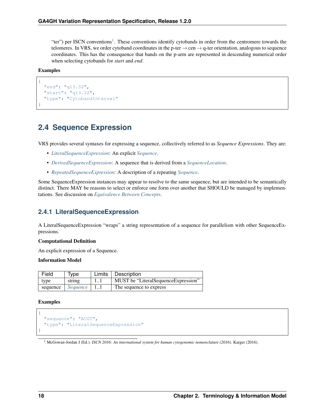"ter") per ISCN conventions<sup>[1](#page-21-2)</sup>. These conventions identify cytobands in order from the centromere towards the telomeres. In VRS, we order cytoband coordinates in the p-ter  $\rightarrow$  cen  $\rightarrow$  q-ter orientation, analogous to sequence coordinates. This has the consequence that bands on the p-arm are represented in descending numerical order when selecting cytobands for *start* and *end*.

### Examples

{

}

```
"end": "q13.32",
"start": "q13.32",
"type": "CytobandInterval"
```
## <span id="page-21-0"></span>**2.4 Sequence Expression**

VRS provides several syntaxes for expressing a sequence, collectively referred to as *Sequence Expressions*. They are:

- *[LiteralSequenceExpression](#page-21-1)*: An explicit *[Sequence](#page-27-0)*.
- *[DerivedSequenceExpression](#page-22-1)*: A sequence that is derived from a *[SequenceLocation](#page-18-0)*.
- *[RepeatedSequenceExpression](#page-22-0)*: A description of a repeating *[Sequence](#page-27-0)*.

Some SequenceExpression instances may appear to resolve to the same sequence, but are intended to be semantically distinct. There MAY be reasons to select or enforce one form over another that SHOULD be managed by implementations. See discussion on *[Equivalence Between Concepts](#page-63-0)*.

## <span id="page-21-1"></span>**2.4.1 LiteralSequenceExpression**

A LiteralSequenceExpression "wraps" a string representation of a sequence for parallelism with other SequenceExpressions.

### Computational Definition

An explicit expression of a Sequence.

### Information Model

| Field    | <b>Type</b> | Limits   Description                |
|----------|-------------|-------------------------------------|
| type     | string      | MUST be "LiteralSequenceExpression" |
| sequence | Sequence    | The sequence to express             |

### Examples

{

}

```
"sequence": "ACGT",
"type": "LiteralSequenceExpression"
```
### <span id="page-21-2"></span><sup>1</sup> McGowan-Jordan J (Ed.). *ISCN 2016: An international system for human cytogenomic nomenclature (2016)*. Karger (2016).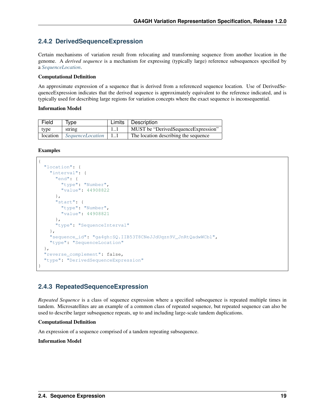## <span id="page-22-1"></span>**2.4.2 DerivedSequenceExpression**

Certain mechanisms of variation result from relocating and transforming sequence from another location in the genome. A *derived sequence* is a mechanism for expressing (typically large) reference subsequences specified by a *[SequenceLocation](#page-18-0)*.

### Computational Definition

An approximate expression of a sequence that is derived from a referenced sequence location. Use of DerivedSequenceExpression indicates that the derived sequence is approximately equivalent to the reference indicated, and is typically used for describing large regions for variation concepts where the exact sequence is inconsequential.

### Information Model

| Field | Tvpe                             |    | Limits   Description                 |
|-------|----------------------------------|----|--------------------------------------|
| type  | string                           | 11 | MUST be "DerivedSequenceExpression"  |
|       | location   SequenceLocation   11 |    | The location describing the sequence |

### Examples

```
{
  "location": {
   "interval": {
      "end": {
       "type": "Number",
       "value": 44908822
      },
      "start": {
       "type": "Number",
        "value": 44908821
      },
      "type": "SequenceInterval"
   },
    "sequence_id": "ga4gh:SQ.IIB53T8CNeJJdUqzn9V_JnRtQadwWCbl",
    "type": "SequenceLocation"
  },
  "reverse_complement": false,
  "type": "DerivedSequenceExpression"
}
```
## <span id="page-22-0"></span>**2.4.3 RepeatedSequenceExpression**

*Repeated Sequence* is a class of sequence expression where a specified subsequence is repeated multiple times in tandem. Microsatellites are an example of a common class of repeated sequence, but repeated sequence can also be used to describe larger subsequence repeats, up to and including large-scale tandem duplications.

### Computational Definition

An expression of a sequence comprised of a tandem repeating subsequence.

Information Model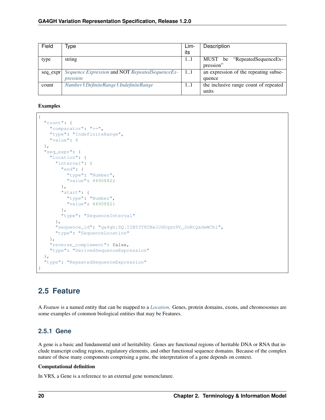| Field    | lype                                              | Lim- | Description                           |
|----------|---------------------------------------------------|------|---------------------------------------|
|          |                                                   | its  |                                       |
| type     | string                                            | 11   | "RepeatedSequenceEx-<br>MUST be       |
|          |                                                   |      | pression"                             |
| seq expr | Sequence Expression and NOT Repeated Sequence Ex- | 11   | an expression of the repeating subse- |
|          | pression                                          |      | quence                                |
| count    | Number   DefiniteRange   IndefiniteRange          | 11   | the inclusive range count of repeated |
|          |                                                   |      | units                                 |

Examples

```
{
  "count": {
   "comparator": ">=",
   "type": "IndefiniteRange",
   "value": 6
 },
  "seq_expr": {
   "location": {
     "interval": {
       "end": {
         "type": "Number",
         "value": 44908822
        },
        "start": {
          "type": "Number",
          "value": 44908821
        },
        "type": "SequenceInterval"
      },
      "sequence_id": "ga4gh:SQ.IIB53T8CNeJJdUqzn9V_JnRtQadwWCbl",
      "type": "SequenceLocation"
   },
   "reverse_complement": false,
   "type": "DerivedSequenceExpression"
 },
  "type": "RepeatedSequenceExpression"
}
```
## <span id="page-23-0"></span>**2.5 Feature**

A *Feature* is a named entity that can be mapped to a *[Location](#page-17-1)*. Genes, protein domains, exons, and chromosomes are some examples of common biological entities that may be Features.

## **2.5.1 Gene**

A gene is a basic and fundamental unit of heritability. Genes are functional regions of heritable DNA or RNA that include transcript coding regions, regulatory elements, and other functional sequence domains. Because of the complex nature of these many components comprising a gene, the interpretation of a gene depends on context.

### Computational definition

In VRS, a Gene is a reference to an external gene nomenclature.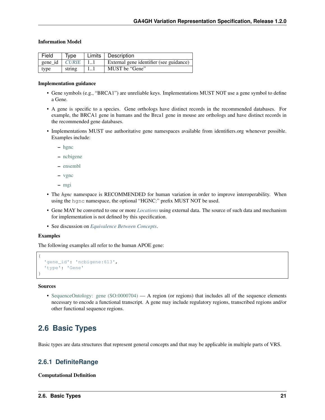### Information Model

| Field<br>Type                |        |      | Limits   Description                    |
|------------------------------|--------|------|-----------------------------------------|
| gene_id $\vert$ <i>CURIE</i> |        | -1.1 | External gene identifier (see guidance) |
| type                         | string |      | MUST be "Gene"                          |

#### Implementation guidance

- Gene symbols (e.g., "BRCA1") are unreliable keys. Implementations MUST NOT use a gene symbol to define a Gene.
- A gene is specific to a species. Gene orthologs have distinct records in the recommended databases. For example, the BRCA1 gene in humans and the Brca1 gene in mouse are orthologs and have distinct records in the recommended gene databases.
- Implementations MUST use authoritative gene namespaces available from identifiers.org whenever possible. Examples include:
	- [hgnc](https://registry.identifiers.org/registry/hgnc)
	- [ncbigene](https://registry.identifiers.org/registry/ncbigene)
	- [ensembl](https://registry.identifiers.org/registry/ensembl)
	- [vgnc](https://registry.identifiers.org/registry/vgnc)
	- [mgi](https://registry.identifiers.org/registry/mgi)
- The *hgnc* namespace is RECOMMENDED for human variation in order to improve interoperability. When using the hgnc namespace, the optional "HGNC:" prefix MUST NOT be used.
- Gene MAY be converted to one or more *[Locations](#page-17-1)* using external data. The source of such data and mechanism for implementation is not defined by this specification.
- See discussion on *[Equivalence Between Concepts](#page-63-0)*.

### Examples

The following examples all refer to the human APOE gene:

```
'gene id': 'ncbigene:613',
'type': 'Gene'
```
Sources

{

}

• [SequenceOntology: gene \(SO:0000704\)](http://www.sequenceontology.org/browser/current_release/term/SO:0000704) — A region (or regions) that includes all of the sequence elements necessary to encode a functional transcript. A gene may include regulatory regions, transcribed regions and/or other functional sequence regions.

## <span id="page-24-0"></span>**2.6 Basic Types**

Basic types are data structures that represent general concepts and that may be applicable in multiple parts of VRS.

### <span id="page-24-1"></span>**2.6.1 DefiniteRange**

### Computational Definition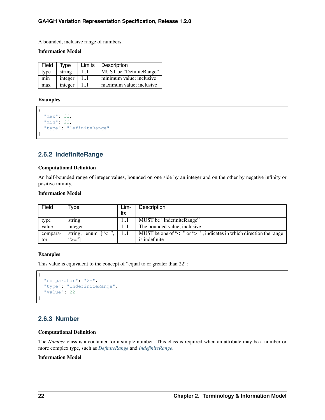A bounded, inclusive range of numbers.

### Information Model

| Field | Limits<br>Tvpe |          | Description              |
|-------|----------------|----------|--------------------------|
| type  | string         | 11       | MUST be "DefiniteRange"  |
| min   | integer        | 11       | minimum value; inclusive |
| max   | integer        | $1_{-1}$ | maximum value; inclusive |

### Examples

```
{
  "max": 33,
  "min": 22,
  "type": "DefiniteRange"
}
```
## <span id="page-25-1"></span>**2.6.2 IndefiniteRange**

### Computational Definition

An half-bounded range of integer values, bounded on one side by an integer and on the other by negative infinity or positive infinity.

### Information Model

| Field    | Type                       | Lim- | Description                                                                       |
|----------|----------------------------|------|-----------------------------------------------------------------------------------|
|          |                            | its  |                                                                                   |
| type     | string                     |      | MUST be "IndefiniteRange"                                                         |
| value    | integer                    |      | The bounded value; inclusive                                                      |
| compara- | string; enum $[``<=", \ ]$ |      | MUST be one of " $\leq$ =" or " $\geq$ =", indicates in which direction the range |
| tor      | " $>=$ "                   |      | is indefinite                                                                     |

### Examples

This value is equivalent to the concept of "equal to or greater than 22":

```
{
 "comparator": ">=",
 "type": "IndefiniteRange",
  "value": 22
}
```
## <span id="page-25-0"></span>**2.6.3 Number**

### Computational Definition

The *Number* class is a container for a simple number. This class is required when an attribute may be a number or more complex type, such as *[DefiniteRange](#page-24-1)* and *[IndefiniteRange](#page-25-1)*.

### Information Model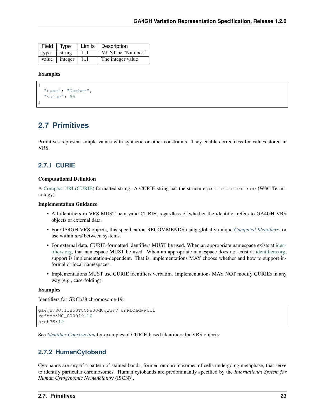|      | $\overline{Field}$   Type |      | <b>Limits Description</b> |
|------|---------------------------|------|---------------------------|
| type | $\vert$ string            | 11   | MUST be "Number"          |
|      | value $ $ integer $ $     | l 11 | The integer value         |

### Examples

{

}

```
"type": "Number",
"value": 55
```
## <span id="page-26-0"></span>**2.7 Primitives**

Primitives represent simple values with syntactic or other constraints. They enable correctness for values stored in VRS.

### <span id="page-26-1"></span>**2.7.1 CURIE**

#### Computational Definition

A [Compact URI \(CURIE\)](https://www.w3.org/TR/curie/) formatted string. A CURIE string has the structure prefix:reference (W3C Terminology).

### Implementation Guidance

- All identifiers in VRS MUST be a valid CURIE, regardless of whether the identifier refers to GA4GH VRS objects or external data.
- For GA4GH VRS objects, this specification RECOMMENDS using globally unique *[Computed Identifiers](#page-36-0)* for use within *and* between systems.
- For external data, CURIE-formatted identifiers MUST be used. When an appropriate namespace exists at [iden](http://identifiers.org/)[tifiers.org,](http://identifiers.org/) that namespace MUST be used. When an appropriate namespace does not exist at [identifiers.org,](http://identifiers.org/) support is implementation-dependent. That is, implementations MAY choose whether and how to support informal or local namespaces.
- Implementations MUST use CURIE identifiers verbatim. Implementations MAY NOT modify CURIEs in any way (e.g., case-folding).

### Examples

Identifiers for GRCh38 chromosome 19:

```
ga4gh:SQ.IIB53T8CNeJJdUqzn9V_JnRtQadwWCbl
refseq:NC_000019.10
grch38:19
```
See *[Identifier Construction](#page-39-1)* for examples of CURIE-based identifiers for VRS objects.

## <span id="page-26-2"></span>**2.7.2 HumanCytoband**

Cytobands are any of a pattern of stained bands, formed on chromosomes of cells undergoing metaphase, that serve to identify particular chromosomes. Human cytobands are predominantly specified by the *International System for* Human Cytogenomic Nomenclature (ISCN)<sup>1</sup>.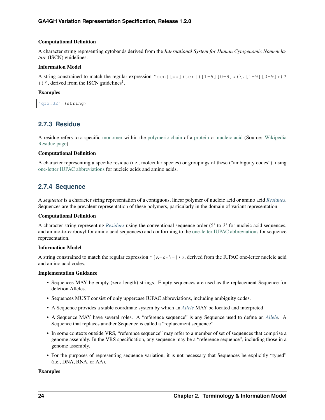### Computational Definition

A character string representing cytobands derived from the *International System for Human Cytogenomic Nomenclature* (ISCN) guidelines.

### Information Model

A string constrained to match the regular expression ^cen|[pq](ter|([1-9][0-9]\*(\.[1-9][0-9]\*)?  $)$  )  $\frac{1}{2}$ , derived from the ISCN guidelines<sup>1</sup>.

### Examples

| $"$ a $13.32"$ | (string) |
|----------------|----------|
|----------------|----------|

## <span id="page-27-1"></span>**2.7.3 Residue**

A residue refers to a specific [monomer](https://en.wikipedia.org/wiki/Monomer) within the [polymeric chain](https://en.wikipedia.org/wiki/Polymer) of a [protein](https://en.wikipedia.org/wiki/Protein) or [nucleic acid](https://en.wikipedia.org/wiki/Nucleic_acid) (Source: [Wikipedia](https://en.wikipedia.org/wiki/Residue_%28chemistry%29) [Residue page\)](https://en.wikipedia.org/wiki/Residue_%28chemistry%29).

### Computational Definition

A character representing a specific residue (i.e., molecular species) or groupings of these ("ambiguity codes"), using [one-letter IUPAC abbreviations](https://en.wikipedia.org/wiki/International_Union_of_Pure_and_Applied_Chemistry#Amino_acid_and_nucleotide_base_codes) for nucleic acids and amino acids.

## <span id="page-27-0"></span>**2.7.4 Sequence**

A *sequence* is a character string representation of a contiguous, linear polymer of nucleic acid or amino acid *[Residues](#page-27-1)*. Sequences are the prevalent representation of these polymers, particularly in the domain of variant representation.

### Computational Definition

A character string representing *[Residues](#page-27-1)* using the conventional sequence order (5'-to-3' for nucleic acid sequences, and amino-to-carboxyl for amino acid sequences) and conforming to the [one-letter IUPAC abbreviations](https://en.wikipedia.org/wiki/International_Union_of_Pure_and_Applied_Chemistry#Amino_acid_and_nucleotide_base_codes) for sequence representation.

### Information Model

A string constrained to match the regular expression  $\wedge$  [A-Z\*\-]\*\$, derived from the IUPAC one-letter nucleic acid and amino acid codes.

### Implementation Guidance

- Sequences MAY be empty (zero-length) strings. Empty sequences are used as the replacement Sequence for deletion Alleles.
- Sequences MUST consist of only uppercase IUPAC abbreviations, including ambiguity codes.
- A Sequence provides a stable coordinate system by which an *[Allele](#page-9-3)* MAY be located and interpreted.
- A Sequence MAY have several roles. A "reference sequence" is any Sequence used to define an *[Allele](#page-9-3)*. A Sequence that replaces another Sequence is called a "replacement sequence".
- In some contexts outside VRS, "reference sequence" may refer to a member of set of sequences that comprise a genome assembly. In the VRS specification, any sequence may be a "reference sequence", including those in a genome assembly.
- For the purposes of representing sequence variation, it is not necessary that Sequences be explicitly "typed" (i.e., DNA, RNA, or AA).

### Examples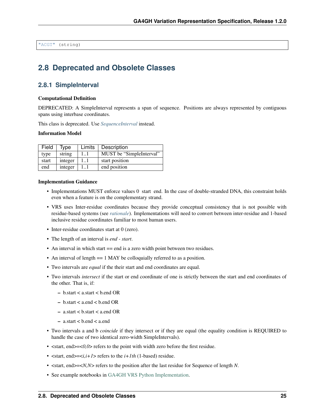"ACGT" (string)

## <span id="page-28-0"></span>**2.8 Deprecated and Obsolete Classes**

### **2.8.1 SimpleInterval**

#### Computational Definition

DEPRECATED: A SimpleInterval represents a span of sequence. Positions are always represented by contiguous spans using interbase coordinates.

This class is deprecated. Use *[SequenceInterval](#page-19-0)* instead.

#### Information Model

| Field | Type    | Limits   Description |                          |
|-------|---------|----------------------|--------------------------|
| type  | string  | 11                   | MUST be "SimpleInterval" |
| start | integer | 11                   | start position           |
| end   | integer | 11                   | end position             |

#### Implementation Guidance

- Implementations MUST enforce values 0 start end. In the case of double-stranded DNA, this constraint holds even when a feature is on the complementary strand.
- VRS uses Inter-residue coordinates because they provide conceptual consistency that is not possible with residue-based systems (see *[rationale](#page-50-0)*). Implementations will need to convert between inter-residue and 1-based inclusive residue coordinates familiar to most human users.
- Inter-residue coordinates start at 0 (zero).
- The length of an interval is *end start*.
- An interval in which start = end is a zero width point between two residues.
- An interval of length = 1 MAY be colloquially referred to as a position.
- Two intervals are *equal* if the their start and end coordinates are equal.
- Two intervals *intersect* if the start or end coordinate of one is strictly between the start and end coordinates of the other. That is, if:
	- $-$  b.start  $<$  a.start  $<$  b.end OR
	- b.start < a.end < b.end OR
	- a.start < b.start < a.end OR
	- a.start < b.end < a.end
- Two intervals a and b *coincide* if they intersect or if they are equal (the equality condition is REQUIRED to handle the case of two identical zero-width SimpleIntervals).
- <start, end > = < 0,0 \ refers to the point with width zero before the first residue.
- $\text{start}, \text{end} \ge \text{right}$  refers to the  $i + 1th$  (1-based) residue.
- <start, end>=<*N,N*> refers to the position after the last residue for Sequence of length *N*.
- See example notebooks in [GA4GH VRS Python Implementation.](https://github.com/ga4gh/vrs-python/)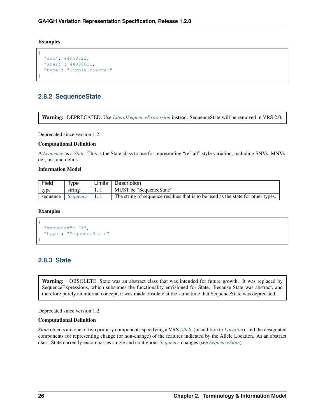Examples

```
{
  "end": 44908822,
  "start": 44908821,
  "type": "SimpleInterval"
}
```
## <span id="page-29-0"></span>**2.8.2 SequenceState**

Warning: DEPRECATED. Use *[LiteralSequenceExpression](#page-21-1)* instead. SequenceState will be removed in VRS 2.0.

Deprecated since version 1.2.

### Computational Definition

A *[Sequence](#page-27-0)* as a *[State](#page-29-1)*. This is the State class to use for representing "ref-alt" style variation, including SNVs, MNVs, del, ins, and delins.

### Information Model

| Field    | Type     | Limits | Description                                                                      |
|----------|----------|--------|----------------------------------------------------------------------------------|
| type     | string   | 11     | MUST be "SequenceState"                                                          |
| sequence | Sequence |        | The string of sequence residues that is to be used as the state for other types. |

### Examples

```
{
  "sequence": "T",
  "type": "SequenceState"
}
```
## <span id="page-29-1"></span>**2.8.3 State**

Warning: OBSOLETE. State was an abstract class that was intended for future growth. It was replaced by SequenceExpressions, which subsumes the functionality envisioned for State. Because State was abstract, and therefore purely an internal concept, it was made obsolete at the same time that SequenceState was deprecated.

Deprecated since version 1.2.

### Computational Definition

*State* objects are one of two primary components specifying a VRS *[Allele](#page-9-3)* (in addition to *[Location](#page-17-1)*), and the designated components for representing change (or non-change) of the features indicated by the Allele Location. As an abstract class, State currently encompasses single and contiguous *[Sequence](#page-27-0)* changes (see *[SequenceState](#page-29-0)*).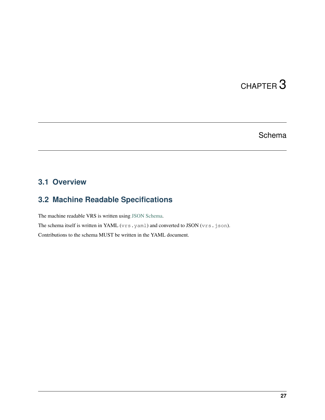# CHAPTER 3

## **Schema**

## <span id="page-30-1"></span><span id="page-30-0"></span>**3.1 Overview**

## <span id="page-30-2"></span>**3.2 Machine Readable Specifications**

The machine readable VRS is written using [JSON Schema.](https://json-schema.org/)

The schema itself is written in YAML (vrs.yaml) and converted to JSON (vrs.json). Contributions to the schema MUST be written in the YAML document.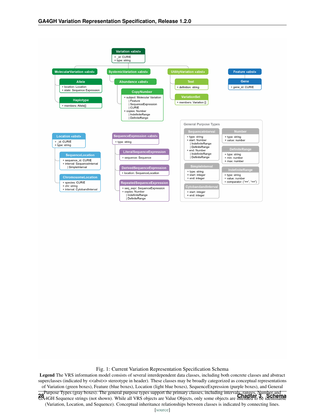<span id="page-31-0"></span>

Fig. 1: Current Variation Representation Specification Schema

Legend The VRS information model consists of several interdependent data classes, including both concrete classes and abstract superclasses (indicated by  $\langle\langle\text{zabs}\rangle\rangle$  stereotype in header). These classes may be broadly categorized as conceptual representations of Variation (green boxes), Feature (blue boxes), Location (light blue boxes), SequenceExpression (purple boxes), and General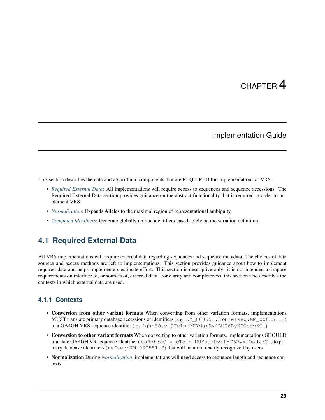# CHAPTER 4

## Implementation Guide

<span id="page-32-0"></span>This section describes the data and algorithmic components that are REQUIRED for implementations of VRS.

- *[Required External Data](#page-32-1)*: All implementations will require access to sequences and sequence accessions. The Required External Data section provides guidance on the abstract functionality that is required in order to implement VRS.
- *[Normalization](#page-33-0)*: Expands Alleles to the maximal region of representational ambiguity.
- *[Computed Identifiers](#page-36-0)*: Generate globally unique identifiers based solely on the variation definition.

## <span id="page-32-1"></span>**4.1 Required External Data**

All VRS implementations will require external data regarding sequences and sequence metadata. The choices of data sources and access methods are left to implementations. This section provides guidance about how to implement required data and helps implementers estimate effort. This section is descriptive only: it is not intended to impose requirements on interface to, or sources of, external data. For clarity and completeness, this section also describes the contexts in which external data are used.

## **4.1.1 Contexts**

- Conversion from other variant formats When converting from other variation formats, implementations MUST translate primary database accessions or identifiers (*e.g.,* NM\_000551.3 or refseq:NM\_000551.3) to a GA4GH VRS sequence identifier ( ga4gh:SQ.v\_QTc1p-MUYdgrRv4LMT6ByXIOsdw3C\_)
- Conversion to other variant formats When converting to other variation formats, implementations SHOULD translate GA4GH VR sequence identifier ( ga4gh:SQ.v\_QTc1p-MUYdgrRv4LMT6ByXIOsdw3C\_) to primary database identifiers (refseq:NM\_000551.3) that will be more readily recognized by users.
- Normalization During *[Normalization](#page-33-0)*, implementations will need access to sequence length and sequence contexts.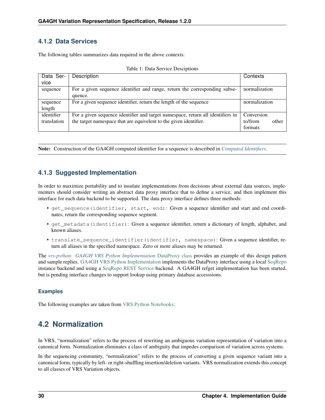## **4.1.2 Data Services**

The following tables summarizes data required in the above contexts:

| Data Ser-   | Description                                                                     | Contexts         |
|-------------|---------------------------------------------------------------------------------|------------------|
| vice        |                                                                                 |                  |
| sequence    | For a given sequence identifier and range, return the corresponding subse-      | normalization    |
|             | quence.                                                                         |                  |
| sequence    | For a given sequence identifier, return the length of the sequence              | normalization    |
| length      |                                                                                 |                  |
| identifier  | For a given sequence identifier and target namespace, return all identifiers in | Conversion       |
| translation | the target namespace that are equivelent to the given identifier.               | to/from<br>other |
|             |                                                                                 | formats          |

| Table 1: Data Service Desciptions |  |  |  |  |  |
|-----------------------------------|--|--|--|--|--|
|-----------------------------------|--|--|--|--|--|

Note: Construction of the GA4GH computed identifier for a sequence is described in *[Computed Identifiers](#page-36-0)*.

## **4.1.3 Suggested Implementation**

In order to maximize portability and to insulate implementations from decisions about external data sources, implementers should consider writing an abstract data proxy interface that to define a service, and then implement this interface for each data backend to be supported. The data proxy interface defines three methods:

- get\_sequence(identifier, start, end): Given a sequence identifier and start and end coordinates, return the corresponding sequence segment.
- get metadata(identifier): Given a sequence identifier, return a dictionary of length, alphabet, and known aliases.
- translate\_sequence\_identifier(identifier, namespace): Given a sequence identifier, return all aliases in the specified namespace. Zero or more aliases may be returned.

The *[vrs-python: GA4GH VRS Python Implementation](#page-57-1)* [DataProxy class](https://github.com/ga4gh/vrs-python/blob/develop/src/ga4gh.vrs.dataproxy.py) provides an example of this design pattern and sample replies. [GA4GH VRS Python Implementation](https://github.com/ga4gh/vrs-python/) implements the DataProxy interface using a local [SeqRepo](https://github.com/biocommons/biocommons.seqrepo/) instance backend and using a [SeqRepo REST Service](https://github.com/biocommons/seqrepo-rest-service/) backend. A GA4GH refget implementation has been started, but is pending interface changes to support lookup using primary database accesssions.

### **Examples**

The following examples are taken from [VRS Python Notebooks:](https://github.com/ga4gh/vrs-python/tree/develop/notebooks)

## <span id="page-33-0"></span>**4.2 Normalization**

In VRS, "normalization" refers to the process of rewriting an ambiguous variation representation of variation into a canonical form. Normalization eliminates a class of ambiguity that impedes comparison of variation across systems.

In the sequencing community, "normalization" refers to the process of converting a given sequence variant into a canonical form, typically by left- or right-shuffling insertion/deletion variants. VRS normalization extends this concept to all classes of VRS Variation objects.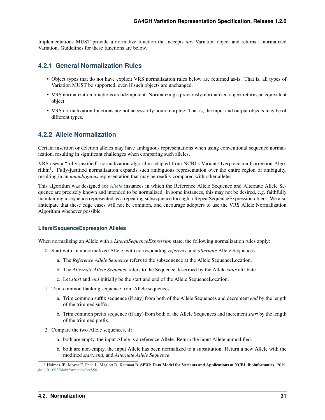Implementations MUST provide a normalize function that accepts *any* Variation object and returns a normalized Variation. Guidelines for these functions are below.

### **4.2.1 General Normalization Rules**

- Object types that do not have explicit VRS normalization rules below are returned as-is. That is, all types of Variation MUST be supported, even if such objects are unchanged.
- VRS normalization functions are idempotent: Normalizing a previously-normalized object returns an equivalent object.
- VRS normalization functions are not necessarily homomorphic: That is, the input and output objects may be of different types.

## **4.2.2 Allele Normalization**

Certain insertion or deletion alleles may have ambiguous representations when using conventional sequence normalization, resulting in significant challenges when comparing such alleles.

VRS uses a "fully-justified" normalization algorithm adapted from NCBI's Variant Overprecision Correction Algo-rithm<sup>[1](#page-34-0)</sup>. Fully-justified normalization expands such ambiguous representation over the entire region of ambiguity, resulting in an *unambiguous* representation that may be readily compared with other alleles.

This algorithm was designed for *[Allele](#page-9-3)* instances in which the Reference Allele Sequence and Alternate Allele Sequence are precisely known and intended to be normalized. In some instances, this may not be desired, e.g. faithfully maintaining a sequence represented as a repeating subsequence through a RepeatSequenceExpression object. We also anticipate that these edge cases will not be common, and encourage adopters to use the VRS Allele Normalization Algorithm whenever possible.

### **LiteralSequenceExpression Alleles**

When normalizing an Allele with a *LiteralSequenceExpression* state, the following normalization rules apply:

- 0. Start with an unnormalized Allele, with corresponding *reference* and *alternate* Allele Sequences.
	- a. The *Reference Allele Sequence* refers to the subsequence at the Allele SequenceLocation.
	- b. The *Alternate Allele Sequence* refers to the Sequence described by the Allele *state* attribute.
	- c. Let *start* and *end* initially be the start and end of the Allele SequenceLocation.
- 1. Trim common flanking sequence from Allele sequences.
	- a. Trim common suffix sequence (if any) from both of the Allele Sequences and decrement *end* by the length of the trimmed suffix.
	- b. Trim common prefix sequence (if any) from both of the Allele Sequences and increment *start* by the length of the trimmed prefix.
- 2. Compare the two Allele sequences, if:
	- a. both are empty, the input Allele is a reference Allele. Return the input Allele unmodified.
	- b. both are non-empty, the input Allele has been normalized to a substitution. Return a new Allele with the modified *start*, *end*, and *Alternate Allele Sequence*.

<span id="page-34-0"></span><sup>&</sup>lt;sup>1</sup> Holmes JB, Moyer E, Phan L, Maglott D, Kattman B. SPDI: Data Model for Variants and Applications at NCBI. Bioinformatics. 2019. [doi:10.1093/bioinformatics/btz856](https://doi.org/10.1093/bioinformatics/btz856)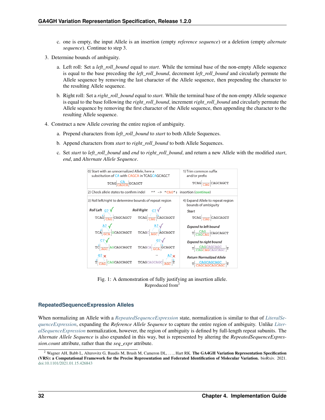- c. one is empty, the input Allele is an insertion (empty *reference sequence*) or a deletion (empty *alternate sequence*). Continue to step 3.
- 3. Determine bounds of ambiguity.
	- a. Left roll: Set a *left\_roll\_bound* equal to *start*. While the terminal base of the non-empty Allele sequence is equal to the base preceding the *left roll bound*, decrement *left roll bound* and circularly permute the Allele sequence by removing the last character of the Allele sequence, then prepending the character to the resulting Allele sequence.
	- b. Right roll: Set a *right\_roll\_bound* equal to *start*. While the terminal base of the non-empty Allele sequence is equal to the base following the *right\_roll\_bound*, increment *right\_roll\_bound* and circularly permute the Allele sequence by removing the first character of the Allele sequence, then appending the character to the resulting Allele sequence.
- 4. Construct a new Allele covering the entire region of ambiguity.
	- a. Prepend characters from *left\_roll\_bound* to *start* to both Allele Sequences.
	- b. Append characters from *start* to *right\_roll\_bound* to both Allele Sequences.
	- c. Set *start* to *left\_roll\_bound* and *end* to *right\_roll\_bound*, and return a new Allele with the modified *start*, *end*, and *Alternate Allele Sequence*.



Fig. 1: A demonstration of fully justifying an insertion allele. Reproduced from<sup>2</sup>

### **RepeatedSequenceExpression Alleles**

When normalizing an Allele with a *[RepeatedSequenceExpression](#page-22-0)* state, normalization is similar to that of *[LiteralSe](#page-21-1)[quenceExpression](#page-21-1)*, expanding the *Reference Allele Sequence* to capture the entire region of ambiguity. Unlike *[Liter](#page-21-1)[alSequenceExpression](#page-21-1)* normalization, however, the region of ambiguity is defined by full-length repeat subunits. The *Alternate Allele Sequence* is also expanded in this way, but is represented by altering the *RepeatedSequenceExpression.count* attribute, rather than the *seq\_expr* attribute.

<sup>&</sup>lt;sup>2</sup> Wagner AH, Babb L, Alterovitz G, Baudis M, Brush M, Cameron DL, ..., Hart RK. The GA4GH Variation Representation Specification (VRS): a Computational Framework for the Precise Representation and Federated Identification of Molecular Variation. bioRxiv. 2021. [doi:10.1101/2021.01.15.426843](https://doi.org/10.1101/2021.01.15.426843)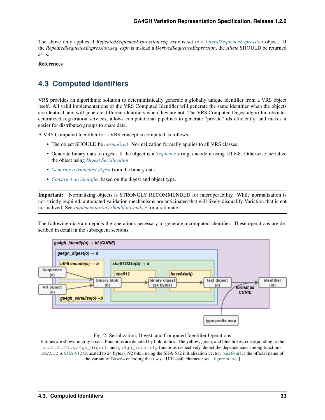The above only applies if *RepeatedSequenceExpression.seq\_expr* is set to a *[LiteralSequenceExpression](#page-21-0)* object. If the *RepeatedSequenceExpression.seq\_expr* is instead a *DerivedSequenceExpression*, the *Allele* SHOULD be returned as-is.

#### References

# <span id="page-36-0"></span>**4.3 Computed Identifiers**

VRS provides an algorithmic solution to deterministically generate a globally unique identifier from a VRS object itself. All valid implementations of the VRS Computed Identifier will generate the same identifier when the objects are identical, and will generate different identifiers when they are not. The VRS Computed Digest algorithm obviates centralized registration services, allows computational pipelines to generate "private" ids efficiently, and makes it easier for distributed groups to share data.

A VRS Computed Identifier for a VRS concept is computed as follows:

- The object SHOULD be *[normalized](#page-33-0)*. Normalization formally applies to all VRS classes.
- Generate binary data to digest. If the object is a *[Sequence](#page-27-0)* string, encode it using UTF-8. Otherwise, serialize the object using *[Digest Serialization](#page-37-0)*.
- *[Generate a truncated digest](#page-38-0)* from the binary data.
- *[Construct an identifier](#page-39-0)* based on the digest and object type.

Important: Normalizing objects is STRONGLY RECOMMENDED for interoperability. While normalization is not strictly required, automated validation mechanisms are anticipated that will likely disqualify Variation that is not normalized. See *[Implementations should normalize](#page-49-0)* for a rationale.

The following diagram depicts the operations necessary to generate a computed identifier. These operations are described in detail in the subsequent sections.



#### Fig. 2: Serialization, Digest, and Computed Identifier Operations

Entities are shown in gray boxes. Functions are denoted by bold italics. The yellow, green, and blue boxes, corresponding to the sha512t24u, ga4gh\_digest, and ga4gh\_identify functions respectively, depict the dependencies among functions. SHA512 is [SHA-512](https://nvlpubs.nist.gov/nistpubs/FIPS/NIST.FIPS.180-4.pdf) truncated to 24 bytes (192 bits), using the SHA-512 initialization vector. [base64url](https://tools.ietf.org/html/rfc4648#section-5) is the official name of the variant of [Base64](https://tools.ietf.org/html/rfc4648) encoding that uses a URL-safe character set. [\[figure source\]](https://www.draw.io/?page-id=M8V1EMsVyfZQDDbK8gNL&title=VR%20diagrams.drawio#Uhttps%3A%2F%2Fdrive.google.com%2Fa%2Fharts.net%2Fuc%3Fid%3D1Qimkvi-Fnd1hhuixbd6aU4Se6zr5Nc1h%26export%3Ddownload)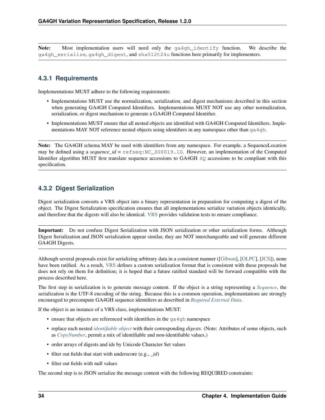Note: Most implementation users will need only the ga4gh\_identify function. We describe the ga4gh\_serialize, ga4gh\_digest, and sha512t24u functions here primarily for implementers.

### **4.3.1 Requirements**

Implementations MUST adhere to the following requirements:

- Implementations MUST use the normalization, serialization, and digest mechanisms described in this section when generating GA4GH Computed Identifiers. Implementations MUST NOT use any other normalization, serialization, or digest mechanism to generate a GA4GH Computed Identifier.
- Implementations MUST ensure that all nested objects are identified with GA4GH Computed Identifiers. Implementations MAY NOT reference nested objects using identifiers in any namespace other than  $qa\cdot 4qh$ .

Note: The GA4GH schema MAY be used with identifiers from any namespace. For example, a SequenceLocation may be defined using a *sequence\_id* = refseq:NC\_000019.10. However, an implementation of the Computed Identifier algorithm MUST first translate sequence accessions to GA4GH SQ accessions to be compliant with this specification.

### <span id="page-37-0"></span>**4.3.2 Digest Serialization**

Digest serialization converts a VRS object into a binary representation in preparation for computing a digest of the object. The Digest Serialization specification ensures that all implementations serialize variation objects identically, and therefore that the digests will also be identical. [VRS](https://github.com/ga4gh/vrs/) provides validation tests to ensure compliance.

Important: Do not confuse Digest Serialization with JSON serialization or other serialization forms. Although Digest Serialization and JSON serialization appear similar, they are NOT interchangeable and will generate different GA4GH Digests.

Although several proposals exist for serializing arbitrary data in a consistent manner ([\[Gibson\]](#page-72-0), [\[OLPC\]](#page-72-1), [\[JCS\]](#page-72-2)), none have been ratified. As a result, [VRS](https://github.com/ga4gh/vrs/) defines a custom serialization format that is consistent with these proposals but does not rely on them for definition; it is hoped that a future ratified standard will be forward compatible with the process described here.

The first step in serialization is to generate message content. If the object is a string representing a *[Sequence](#page-27-0)*, the serialization is the UTF-8 encoding of the string. Because this is a common operation, implementations are strongly encouraged to precompute GA4GH sequence identifiers as described in *[Required External Data](#page-32-0)*.

If the object is an instance of a VRS class, implementations MUST:

- ensure that objects are referenced with identifiers in the ga4gh namespace
- replace each nested *[identifiable object](#page-70-0)* with their corresponding *digests*. (Note: Attributes of some objects, such as *[CopyNumber](#page-13-0)*, permit a mix of identifiable and non-identifiable values.)
- order arrays of digests and ids by Unicode Character Set values
- filter out fields that start with underscore (e.g., *id*)
- filter out fields with null values

The second step is to JSON serialize the message content with the following REQUIRED constraints: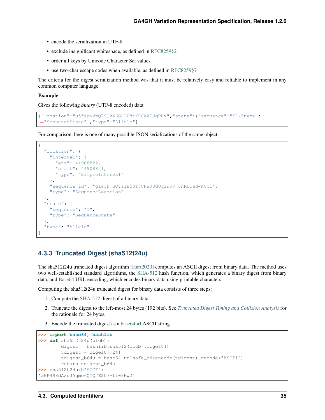- encode the serialization in UTF-8
- exclude insignificant whitespace, as defined in [RFC8259§2](https://tools.ietf.org/html/rfc8259#section-2)
- order all keys by Unicode Character Set values
- use two-char escape codes when available, as defined in [RFC8259§7](https://tools.ietf.org/html/rfc8259#section-7)

The criteria for the digest serialization method was that it must be relatively easy and reliable to implement in any common computer language.

#### Example

Gives the following *binary* (UTF-8 encoded) data:

```
{"location":"u5fspwVbQ79QkX6GHLF8tXPCAXFJqRPx","state":{"sequence":"T","type":
˓→"SequenceState"},"type":"Allele"}
```
For comparison, here is one of many possible JSON serializations of the same object:

```
{
  "location": {
    "interval": {
     "end": 44908822,
     "start": 44908821,
     "type": "SimpleInterval"
   },
   "sequence_id": "ga4gh:SQ.IIB53T8CNeJJdUqzn9V_JnRtQadwWCbl",
   "type": "SequenceLocation"
  },
  "state": {
   "sequence": "T",
    "type": "SequenceState"
  },
  "type": "Allele"
}
```
#### <span id="page-38-0"></span>**4.3.3 Truncated Digest (sha512t24u)**

The sha512t24u truncated digest algorithm [\[Hart2020\]](#page-72-3) computes an ASCII digest from binary data. The method uses two well-established standard algorithms, the [SHA-512](https://nvlpubs.nist.gov/nistpubs/FIPS/NIST.FIPS.180-4.pdf) hash function, which generates a binary digest from binary data, and [Base64](https://tools.ietf.org/html/rfc4648) URL encoding, which encodes binary data using printable characters.

Computing the sha512t24u truncated digest for binary data consists of three steps:

- 1. Compute the [SHA-512](https://nvlpubs.nist.gov/nistpubs/FIPS/NIST.FIPS.180-4.pdf) digest of a binary data.
- 2. Truncate the digest to the left-most 24 bytes (192 bits). See *[Truncated Digest Timing and Collision Analysis](#page-65-0)* for the rationale for 24 bytes.
- 3. Encode the truncated digest as a [base64url](https://tools.ietf.org/html/rfc4648#section-5) ASCII string.

```
>>> import base64, hashlib
>>> def sha512t24u(blob):
        digest = hashlib.sha512(blob).digest()
        tdigest = \text{digest} [:24]
        tdigest_b64u = base64.urlsafe_b64encode(tdigest).decode("ASCII")
        return tdigest_b64u
>>> sha512t24u(b"ACGT")
'aKF498dAxcJAqme6QYQ7EZ07-fiw8Kw2'
```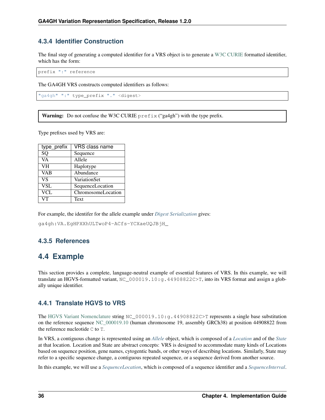### <span id="page-39-0"></span>**4.3.4 Identifier Construction**

The final step of generating a computed identifier for a VRS object is to generate a [W3C CURIE](https://www.w3.org/TR/curie/) formatted identifier, which has the form:

prefix ":" reference

The GA4GH VRS constructs computed identifiers as follows:

```
"ga4gh" ":" type_prefix "." <digest>
```
**Warning:** Do not confuse the W3C CURIE  $\text{prefix}$  ("ga4gh") with the type prefix.

Type prefixes used by VRS are:

| type prefix | <b>VRS</b> class name |
|-------------|-----------------------|
| SQ          | Sequence              |
| VA          | Allele                |
| <b>VH</b>   | Haplotype             |
| <b>VAB</b>  | Abundance             |
| <b>VS</b>   | VariationSet          |
| <b>VSL</b>  | SequenceLocation      |
| VCL         | ChromosomeLocation    |
| VТ          | Text                  |

For example, the identifer for the allele example under *[Digest Serialization](#page-37-0)* gives:

ga4gh:VA.EgHPXXhULTwoP4-ACfs-YCXaeUQJBjH\_

### **4.3.5 References**

# **4.4 Example**

This section provides a complete, language-neutral example of essential features of VRS. In this example, we will translate an HGVS-formatted variant, NC\_000019.10:g.44908822C>T, into its VRS format and assign a globally unique identifier.

### **4.4.1 Translate HGVS to VRS**

The [HGVS Variant Nomenclature](https://varnomen.hgvs.org/) string NC\_000019.10:g.44908822C>T represents a single base substitution on the reference sequence [NC\\_000019.10](https://www.ncbi.nlm.nih.gov/nuccore/NC_000019.10) (human chromosome 19, assembly GRCh38) at position 44908822 from the reference nucleotide C to T.

In VRS, a contiguous change is represented using an *[Allele](#page-9-0)* object, which is composed of a *[Location](#page-17-0)* and of the *[State](#page-29-0)* at that location. Location and State are abstract concepts: VRS is designed to accommodate many kinds of Locations based on sequence position, gene names, cytogentic bands, or other ways of describing locations. Similarly, State may refer to a specific sequence change, a contiguous repeated sequence, or a sequence derived from another source.

In this example, we will use a *[SequenceLocation](#page-18-0)*, which is composed of a sequence identifier and a *[SequenceInterval](#page-19-0)*.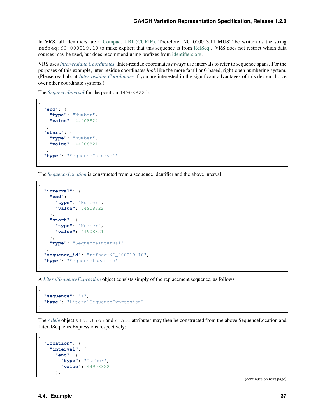In VRS, all identifiers are a [Compact URI \(CURIE\).](https://www.w3.org/TR/curie/) Therefore, NC 000013.11 MUST be written as the string refseq:NC\_000019.10 to make explicit that this sequence is from [RefSeq](https://www.ncbi.nlm.nih.gov/refseq/) . VRS does not restrict which data sources may be used, but does recommend using prefixes from [identifiers.org.](http://identifiers.org)

VRS uses *[Inter-residue Coordinates](#page-50-0)*. Inter-residue coordinates *always* use intervals to refer to sequence spans. For the purposes of this example, inter-residue coordinates *look* like the more familiar 0-based, right-open numbering system. (Please read about *[Inter-residue Coordinates](#page-50-0)* if you are interested in the significant advantages of this design choice over other coordinate systems.)

The *[SequenceInterval](#page-19-0)* for the position 44908822 is

```
{
  "end": {
    "type": "Number",
    "value": 44908822
 },
  "start": {
    "type": "Number",
    "value": 44908821
 },
  "type": "SequenceInterval"
}
```
The *[SequenceLocation](#page-18-0)* is constructed from a sequence identifier and the above interval.

```
{
  "interval": {
    "end": {
      "type": "Number",
      "value": 44908822
    },
    "start": {
      "type": "Number",
      "value": 44908821
    },
    "type": "SequenceInterval"
  },
  "sequence_id": "refseq:NC_000019.10",
  "type": "SequenceLocation"
}
```
A *[LiteralSequenceExpression](#page-21-0)* object consists simply of the replacement sequence, as follows:

```
"sequence": "T",
"type": "LiteralSequenceExpression"
```
The *[Allele](#page-9-0)* object's location and state attributes may then be constructed from the above SequenceLocation and LiteralSequenceExpressions respectively:

```
{
  "location": {
    "interval": {
      "end": {
        "type": "Number",
        "value": 44908822
      },
```
(continues on next page)

{

}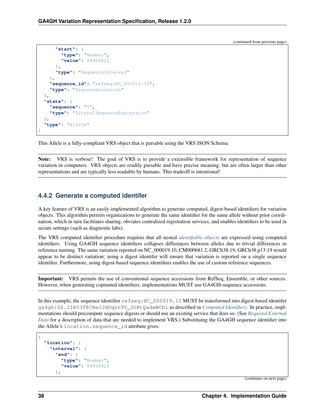(continued from previous page)

```
"start": {
        "type": "Number",
        "value": 44908821
      },
      "type": "SequenceInterval"
    },
    "sequence_id": "refseq:NC_000019.10",
    "type": "SequenceLocation"
  },
  "state": {
    "sequence": "T",
    "type": "LiteralSequenceExpression"
  },
  "type": "Allele"
}
```
This Allele is a fully-compliant VRS object that is parsable using the VRS JSON Schema.

Note: VRS is verbose! The goal of VRS is to provide a extensible framework for representation of sequence variation in computers. VRS objects are readily parsable and have precise meaning, but are often larger than other representations and are typically less readable by humans. This tradeoff is intentional!

#### **4.4.2 Generate a computed identifer**

A key feature of VRS is an easily-implemented algorithm to generate computed, digest-based identifiers for variation objects. This algorithm permits organizations to generate the same identifier for the same allele without prior coordination, which in turn facilitates sharing, obviates centralized registration services, and enables identifiers to be used in secure settings (such as diagnostic labs).

The VRS computed identifier procedure requires that all nested *[identifiable objects](#page-70-0)* are expressed using computed identifiers. Using GA4GH sequence identifiers collapses differences between alleles due to trivial differences in reference naming. The same variation reported on NC\_000019.10, CM000681.2, GRCh38:19, GRCh38.p13:19 would appear to be distinct variation; using a digest identifer will ensure that variation is reported on a single sequence identifier. Furthermore, using digest-based sequence identifiers enables the use of custom reference sequences.

Important: VRS permits the use of conventional sequence accessions from RefSeq, Ensemble, or other sources. However, when generating copmuted identifiers, implementations MUST use GA4GH-sequence accessions.

In this example, the sequence identifier  $r \in f \in g : NC_000019.10$  MUST be transformed into digest-based identifer ga4gh:GS.IIB53T8CNeJJdUqzn9V\_JnRtQadwWCbl as described in *[Computed Identifiers](#page-36-0)*. In practice, implmentations should precompute sequence digests or should use an existing service that does so. (See *[Required External](#page-32-0) [Data](#page-32-0)* for a description of data that are needed to implement VRS.) Subsitituing the GA4GH sequence identifier into the Allele's location.sequence\_id attribute gives:

```
"location": {
  "interval": {
    "end": {
      "type": "Number",
      "value": 44908822
    },
```
(continues on next page)

{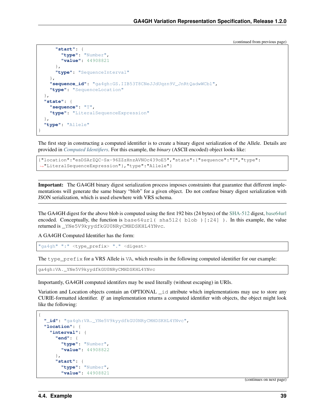(continued from previous page)

```
"start": {
        "type": "Number",
        "value": 44908821
      },
      "type": "SequenceInterval"
    },
    "sequence_id": "ga4gh:GS.IIB53T8CNeJJdUqzn9V_JnRtQadwWCbl",
    "type": "SequenceLocation"
  },
  "state": {
    "sequence": "T",
    "type": "LiteralSequenceExpression"
  },
  "type": "Allele"
}
```
The first step in constructing a computed identifier is to create a binary digest serialization of the Allele. Details are provided in *[Computed Identifiers](#page-36-0)*. For this example, the *binary* (ASCII encoded) object looks like:

```
{"location":"esDSArZQC-Sx-96ZZzHnzAVNOc439oE5","state":{"sequence":"T","type":
˓→"LiteralSequenceExpression"},"type":"Allele"}
```
Important: The GA4GH binary digest serialization process imposes constraints that guarantee that different implementations will generate the same binary "blob" for a given object. Do not confuse binary digest serialization with JSON serialization, which is used elsewhere with VRS schema.

The GA4GH digest for the above blob is computed using the first 192 bits (24 bytes) of the [SHA-512](https://nvlpubs.nist.gov/nistpubs/FIPS/NIST.FIPS.180-4.pdf) digest, [base64url](https://tools.ietf.org/html/rfc4648#section-5) encoded. Conceptually, the function is base64url ( $sha512$  ( $blob$ ) [:24] ). In this example, the value returned is \_YNe5V9kyydfkGU0NRyCMHDSKHL4YNvc.

A GA4GH Computed Identifier has the form:

```
"ga4gh" ":" <type_prefix> "." <digest>
```
The type\_prefix for a VRS Allele is VA, which results in the following computed identifier for our example:

```
ga4gh:VA._YNe5V9kyydfkGU0NRyCMHDSKHL4YNvc
```
Importantly, GA4GH computed identifers may be used literally (without escaping) in URIs.

Variation and Location objects contain an OPTIONAL  $\Delta$  attribute which implementations may use to store any CURIE-formatted identifier. *If* an implementation returns a computed identifier with objects, the object might look like the following:

```
{
  "_id": "ga4gh:VA._YNe5V9kyydfkGU0NRyCMHDSKHL4YNvc",
  "location": {
    "interval": {
      "end": {
        "type": "Number",
        "value": 44908822
      },
      "start": {
        "type": "Number",
        "value": 44908821
```
(continues on next page)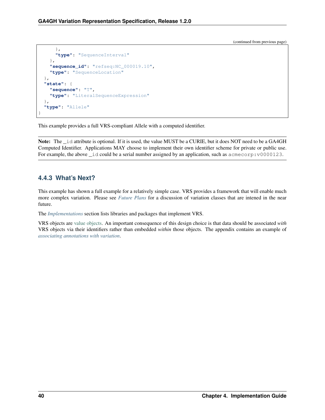(continued from previous page)

```
},
      "type": "SequenceInterval"
    },
    "sequence_id": "refseq:NC_000019.10",
    "type": "SequenceLocation"
  },
  "state": {
    "sequence": "T",
    "type": "LiteralSequenceExpression"
  },
  "type": "Allele"
}
```
This example provides a full VRS-compliant Allele with a computed identifier.

Note: The \_id attribute is optional. If it is used, the value MUST be a CURIE, but it does NOT need to be a GA4GH Computed Identifier. Applications MAY choose to implement their own identifier scheme for private or public use. For example, the above \_id could be a serial number assigned by an application, such as  $a$  acmecorp:v0000123.

### **4.4.3 What's Next?**

This example has shown a full example for a relatively simple case. VRS provides a framework that will enable much more complex variation. Please see *[Future Plans](#page-53-0)* for a discussion of variation classes that are intened in the near future.

The *[Implementations](#page-57-0)* section lists libraries and packages that implement VRS.

VRS objects are [value objects.](https://en.wikipedia.org/wiki/Value_object) An important consequence of this design choice is that data should be associated *with* VRS objects via their identifiers rather than embedded *within* those objects. The appendix contains an example of *[associating annotations with variation](#page-61-0)*.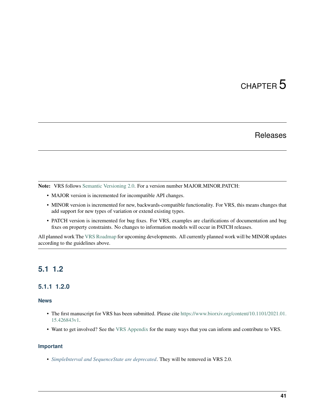# CHAPTER 5

## Releases

Note: VRS follows [Semantic Versioning 2.0.](http://semver.org/) For a version number MAJOR.MINOR.PATCH:

- MAJOR version is incremented for incompatible API changes.
- MINOR version is incremented for new, backwards-compatible functionality. For VRS, this means changes that add support for new types of variation or extend existing types.
- PATCH version is incremented for bug fixes. For VRS, examples are clarifications of documentation and bug fixes on property constraints. No changes to information models will occur in PATCH releases.

All planned work The [VRS Roadmap](https://github.com/orgs/ga4gh/projects/5) for upcoming developments. All currently planned work will be MINOR updates according to the guidelines above.

# **5.1 1.2**

### **5.1.1 1.2.0**

#### **News**

- The first manuscript for VRS has been submitted. Please cite [https://www.biorxiv.org/content/10.1101/2021.01.](https://www.biorxiv.org/content/10.1101/2021.01.15.426843v1) [15.426843v1.](https://www.biorxiv.org/content/10.1101/2021.01.15.426843v1)
- Want to get involved? See the [VRS Appendix](https://vrs.ga4gh.org/en/stable/appendices/index.html) for the many ways that you can inform and contribute to VRS.

#### **Important**

• *[SimpleInterval and SequenceState are deprecated](#page-28-0)*. They will be removed in VRS 2.0.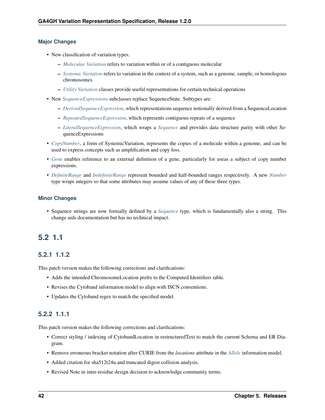#### **Major Changes**

- New classification of variation types.
	- *[Molecular Variation](#page-9-1)* refers to variation within or of a contiguous molecular
	- *[Systemic Variation](#page-13-1)* refers to variation in the context of a system, such as a genome, sample, or homologous chromosomes
	- *[Utility Variation](#page-14-0)* classes provide useful representations for certain technical operations
- New *[SequenceExpressions](#page-21-1)* subclasses replace SequenceState. Subtypes are:
	- *[DerivedSequenceExpression](#page-22-0)*, which representations sequence notionally derived from a SequenceLocation
	- *[RepeatedSequenceExpression](#page-22-1)*, which represents contiguous repeats of a sequence
	- *[LiteralSequenceExpression](#page-21-0)*, which wraps a *[Sequence](#page-27-0)* and provides data structure parity with other SequenceExpressions
- *[CopyNumber](#page-13-0)*, a form of SystemicVariation, represents the copies of a molecule within a genome, and can be used to express concepts such as amplification and copy loss.
- *[Gene](#page-23-0)* enables reference to an external definition of a gene, particularly for useas a subject of copy number expressions.
- *[DefiniteRange](#page-24-0)* and *[IndefiniteRange](#page-25-0)* represent bounded and half-bounded ranges respectively. A new *[Number](#page-25-1)* type wraps integers so that some attributes may assume values of any of these three types.

#### **Minor Changes**

• Sequence strings are now formally defined by a *[Sequence](#page-27-0)* type, which is fundamentally also a string. This change aids documentation but has no technical impact.

# **5.2 1.1**

### **5.2.1 1.1.2**

This patch version makes the following corrections and clarifications:

- Adds the intended ChromosomeLocation prefix to the Computed Identifiers table.
- Revises the Cytoband information model to align with ISCN conventions.
- Updates the Cytoband regex to match the specified model.

### **5.2.2 1.1.1**

This patch version makes the following corrections and clarifications:

- Correct styling / indexing of CytobandLocation in restructuredText to match the current Schema and ER Diagram.
- Remove erroneous bracket notation after CURIE from the *locations* attribute in the *[Allele](#page-9-0)* information model.
- Added citation for sha512t24u and truncated digest collision analysis.
- Revised Note in inter-residue design decision to acknowledge community terms.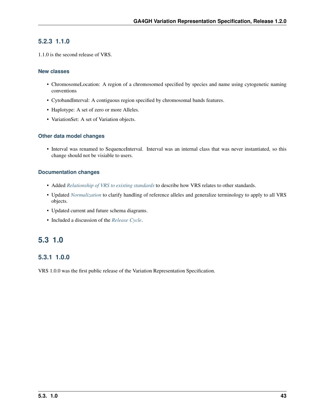### **5.2.3 1.1.0**

1.1.0 is the second release of VRS.

#### **New classes**

- ChromosomeLocation: A region of a chromosomed specified by species and name using cytogenetic naming conventions
- CytobandInterval: A contiguous region specified by chromosomal bands features.
- Haplotype: A set of zero or more Alleles.
- VariationSet: A set of Variation objects.

#### **Other data model changes**

• Interval was renamed to SequenceInterval. Interval was an internal class that was never instantiated, so this change should not be visiable to users.

#### **Documentation changes**

- Added *[Relationship of VRS to existing standards](#page-59-0)* to describe how VRS relates to other standards.
- Updated *[Normalization](#page-33-0)* to clarify handling of reference alleles and generalize terminology to apply to all VRS objects.
- Updated current and future schema diagrams.
- Included a discussion of the *[Release Cycle](#page-51-0)*.

# **5.3 1.0**

### **5.3.1 1.0.0**

VRS 1.0.0 was the first public release of the Variation Representation Specification.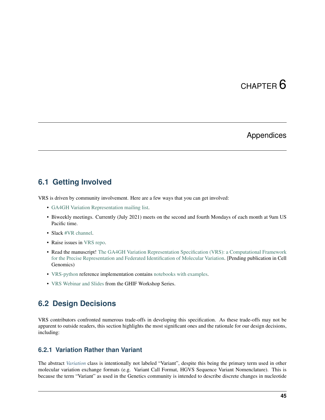# CHAPTER 6

# Appendices

### <span id="page-48-0"></span>**6.1 Getting Involved**

VRS is driven by community involvement. Here are a few ways that you can get involved:

- [GA4GH Variation Representation mailing list.](https://groups.google.com/a/ga4gh.org/g/ga4gh-vr)
- Biweekly meetings. Currently (July 2021) meets on the second and fourth Mondays of each month at 9am US Pacific time.
- Slack [#VR channel.](https://app.slack.com/client/T0V1J60J0/CBNCADUV8)
- Raise issues in [VRS repo.](https://github.com/ga4gh/vrs/)
- Read the manuscript! [The GA4GH Variation Representation Specification \(VRS\): a Computational Framework](https://www.biorxiv.org/content/10.1101/2021.01.15.426843v1) [for the Precise Representation and Federated Identification of Molecular Variation.](https://www.biorxiv.org/content/10.1101/2021.01.15.426843v1) [Pending publication in Cell Genomics)
- [VRS-python](https://github.com/ga4gh/vrs-python/) reference implementation contains [notebooks with examples.](https://github.com/ga4gh/vrs-python/tree/main/notebooks)
- [VRS Webinar and Slides](https://www.ga4gh.org/implementation/) from the GHIF Workshop Series.

### <span id="page-48-1"></span>**6.2 Design Decisions**

VRS contributors confronted numerous trade-offs in developing this specification. As these trade-offs may not be apparent to outside readers, this section highlights the most significant ones and the rationale for our design decisions, including:

### **6.2.1 Variation Rather than Variant**

The abstract *[Variation](#page-9-2)* class is intentionally not labeled "Variant", despite this being the primary term used in other molecular variation exchange formats (e.g. Variant Call Format, HGVS Sequence Variant Nomenclature). This is because the term "Variant" as used in the Genetics community is intended to describe discrete changes in nucleotide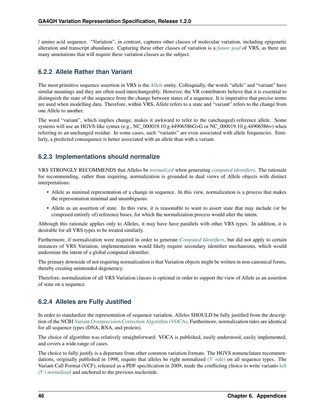/ amino acid sequence. "Variation", in contrast, captures other classes of molecular variation, including epigenetic alteration and transcript abundance. Capturing these other classes of variation is a *[future goal](#page-53-0)* of VRS, as there are many annotations that will require these variation classes as the subject.

### **6.2.2 Allele Rather than Variant**

The most primitive sequence assertion in VRS is the *[Allele](#page-9-0)* entity. Colloquially, the words "allele" and "variant" have similar meanings and they are often used interchangeably. However, the VR contributors believe that it is essential to distinguish the state of the sequence from the change between states of a sequence. It is imperative that precise terms are used when modelling data. Therefore, within VRS, Allele refers to a state and "variant" refers to the change from one Allele to another.

The word "variant", which implies change, makes it awkward to refer to the (unchanged) reference allele. Some systems will use an HGVS-like syntax (e.g., NC\_000019.10:g.44906586G>G or NC\_000019.10:g.44906586=) when referring to an unchanged residue. In some cases, such "variants" are even associated with allele frequencies. Similarly, a predicted consequence is better associated with an allele than with a variant.

### <span id="page-49-0"></span>**6.2.3 Implementations should normalize**

VRS STRONGLY RECOMMENDS that Alleles be *[normalized](#page-33-0)* when generating *[computed identifiers](#page-36-0)*. The rationale for recommending, rather than requiring, normalization is grounded in dual views of Allele objects with distinct interpretations:

- Allele as minimal representation of a change in sequence. In this view, normalization is a process that makes the representation minimal and unambiguous.
- Allele as an assertion of state. In this view, it is reasonable to want to assert state that may include (or be composed entirely of) reference bases, for which the normalization process would alter the intent.

Although this rationale applies only to Alleles, it may have have parallels with other VRS types. In addition, it is desirable for all VRS types to be treated similarly.

Furthermore, if normalization were required in order to generate *[Computed Identifiers](#page-36-0)*, but did not apply to certain instances of VRS Variation, implementations would likely require secondary identifier mechanisms, which would undermine the intent of a global computed identifier.

The primary downside of not requiring normalization is that Variation objects might be written in non-canonical forms, thereby creating unintended degeneracy.

Therefore, normalization of all VRS Variation classes is optional in order to support the view of Allele as an assertion of state on a sequence.

### **6.2.4 Alleles are Fully Justified**

In order to standardize the representation of sequence variation, Alleles SHOULD be fully justified from the description of the NCBI [Variant Overprecision Correction Algorithm \(VOCA\).](https://www.biorxiv.org/content/10.1101/537449v3.full) Furthermore, normalization rules are identical for all sequence types (DNA, RNA, and protein).

The choice of algorithm was relatively straightforward: VOCA is published, easily understood, easily implemented, and covers a wide range of cases.

The choice to fully justify is a departure from other common variation formats. The HGVS nomenclature recommendations, originally published in 1998, require that alleles be right normalized [\(3' rule\)](https://varnomen.hgvs.org/recommendations/general/) on all sequence types. The Variant Call Format (VCF), released as a PDF specification in 2009, made the conflicting choice to write variants [left](https://genome.sph.umich.edu/wiki/Variant_Normalization#Definition) [\(5'\) normalized](https://genome.sph.umich.edu/wiki/Variant_Normalization#Definition) and anchored to the previous nucleotide.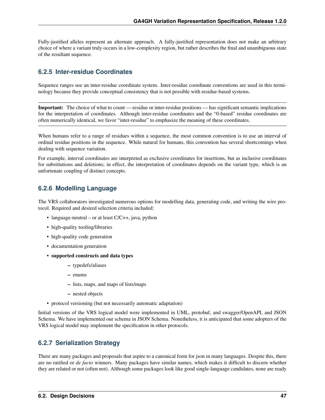Fully-justified alleles represent an alternate approach. A fully-justified representation does not make an arbitrary choice of where a variant truly occurs in a low-complexity region, but rather describes the final and unambiguous state of the resultant sequence.

### <span id="page-50-0"></span>**6.2.5 Inter-residue Coordinates**

Sequence ranges use an inter-residue coordinate system. Inter-residue coordinate conventions are used in this terminology because they provide conceptual consistency that is not possible with residue-based systems.

Important: The choice of what to count — residue or inter-residue positions — has significant semantic implications for the interpretation of coordinates. Although inter-residue coordinates and the "0-based" residue coordinates are often numerically identical, we favor "inter-residue" to emphasize the meaning of these coordinates.

When humans refer to a range of residues within a sequence, the most common convention is to use an interval of ordinal residue positions in the sequence. While natural for humans, this convention has several shortcomings when dealing with sequence variation.

For example, interval coordinates are interpreted as exclusive coordinates for insertions, but as inclusive coordinates for substitutions and deletions; in effect, the interpretation of coordinates depends on the variant type, which is an unfortunate coupling of distinct concepts.

### **6.2.6 Modelling Language**

The VRS collaborators investigated numerous options for modelling data, generating code, and writing the wire protocol. Required and desired selection criteria included:

- language-neutral or at least C/C++, java, python
- high-quality tooling/libraries
- high-quality code generation
- documentation generation
- supported constructs and data types
	- typedefs/aliases
	- enums
	- lists, maps, and maps of lists/maps
	- nested objects
- protocol versioning (but not necessarily automatic adaptation)

Initial versions of the VRS logical model were implemented in UML, protobuf, and swagger/OpenAPI, and JSON Schema. We have implemented our schema in JSON Schema. Nonetheless, it is anticipated that some adopters of the VRS logical model may implement the specification in other protocols.

### **6.2.7 Serialization Strategy**

There are many packages and proposals that aspire to a canonical form for json in many languages. Despite this, there are no ratified or *de facto* winners. Many packages have similar names, which makes it difficult to discern whether they are related or not (often not). Although some packages look like good single-language candidates, none are ready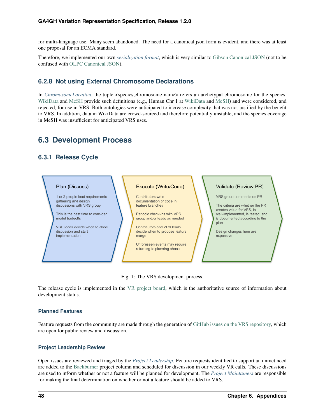for multi-language use. Many seem abandoned. The need for a canonical json form is evident, and there was at least one proposal for an ECMA standard.

Therefore, we implemented our own *[serialization format](#page-37-0)*, which is very similar to [Gibson Canonical JSON](http://gibson042.github.io/canonicaljson-spec/) (not to be confused with [OLPC Canonical JSON\)](http://wiki.laptop.org/go/Canonical_JSON).

### **6.2.8 Not using External Chromosome Declarations**

In *[ChromosomeLocation](#page-17-1)*, the tuple <species,chromosome name> refers an archetypal chromosome for the species. [WikiData](https://www.wikidata.org/) and [MeSH](https://www.ncbi.nlm.nih.gov/mesh/) provide such definitions (e.g., Human Chr 1 at [WikiData](https://www.wikidata.org/wiki/Q430258) and [MeSH\)](https://meshb.nlm.nih.gov/record/ui?ui=D002878) and were considered, and rejected, for use in VRS. Both ontologies were anticipated to increase complexity that was not justified by the benefit to VRS. In addition, data in WikiData are crowd-sourced and therefore potentially unstable, and the species coverage in MeSH was insufficient for anticipated VRS uses.

# **6.3 Development Process**

### <span id="page-51-0"></span>**6.3.1 Release Cycle**



Fig. 1: The VRS development process.

The release cycle is implemented in the [VR project board,](https://github.com/orgs/ga4gh/projects/5?card_filter_query=repo%3Aga4gh%2Fvrs) which is the authoritative source of information about development status.

#### **Planned Features**

Feature requests from the community are made through the generation of [GitHub issues on the VRS repository,](https://github.com/ga4gh/vrs/issues) which are open for public review and discussion.

#### **Project Leadership Review**

Open issues are reviewed and triaged by the *[Project Leadership](#page-52-0)*. Feature requests identified to support an unmet need are added to the [Backburner](https://github.com/orgs/ga4gh/projects/5?card_filter_query=repo%3Aga4gh%2Fvrs#column-9024746) project column and scheduled for discussion in our weekly VR calls. These discussions are used to inform whether or not a feature will be planned for development. The *[Project Maintainers](#page-53-1)* are responsible for making the final determination on whether or not a feature should be added to VRS.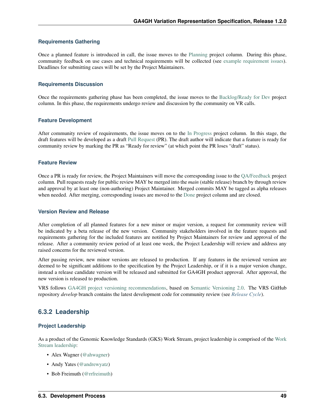#### **Requirements Gathering**

Once a planned feature is introduced in call, the issue moves to the [Planning](https://github.com/orgs/ga4gh/projects/5?card_filter_query=repo%3Aga4gh%2Fvrs#column-8939340) project column. During this phase, community feedback on use cases and technical requirements will be collected (see [example requirement issues\)](https://github.com/ga4gh/vrs/labels/requirements). Deadlines for submitting cases will be set by the Project Maintainers.

#### **Requirements Discussion**

Once the requirements gathering phase has been completed, the issue moves to the [Backlog/Ready for Dev](https://github.com/orgs/ga4gh/projects/5?card_filter_query=repo%3Aga4gh%2Fvrs#column-5274081) project column. In this phase, the requirements undergo review and discussion by the community on VR calls.

#### **Feature Development**

After community review of requirements, the issue moves on to the [In Progress](https://github.com/orgs/ga4gh/projects/5?card_filter_query=repo%3Aga4gh%2Fvrs#column-5274078) project column. In this stage, the draft features will be developed as a draft [Pull Request](https://github.com/ga4gh/vrs/pulls) (PR). The draft author will indicate that a feature is ready for community review by marking the PR as "Ready for review" (at which point the PR loses "draft" status).

#### **Feature Review**

Once a PR is ready for review, the Project Maintainers will move the corresponding issue to the [QA/Feedback](https://github.com/orgs/ga4gh/projects/5?card_filter_query=repo%3Aga4gh%2Fvrs#column-8087350) project column. Pull requests ready for public review MAY be merged into the *main* (stable release) branch by through review and approval by at least one (non-authoring) Project Maintainer. Merged commits MAY be tagged as alpha releases when needed. After merging, corresponding issues are moved to the [Done](https://github.com/orgs/ga4gh/projects/5?card_filter_query=repo%3Aga4gh%2Fvrs#column-5274079) project column and are closed.

#### **Version Review and Release**

After completion of all planned features for a new minor or major version, a request for community review will be indicated by a beta release of the new version. Community stakeholders involved in the feature requests and requirements gathering for the included features are notified by Project Maintainers for review and approval of the release. After a community review period of at least one week, the Project Leadership will review and address any raised concerns for the reviewed version.

After passing review, new minor versions are released to production. If any features in the reviewed version are deemed to be significant additions to the specification by the Project Leadership, or if it is a major version change, instead a release candidate version will be released and submitted for GA4GH product approval. After approval, the new version is released to production.

VRS follows [GA4GH project versioning recommendations,](https://docs.google.com/document/d/1UUJSnsPw32W5r1jaJ0vI11X0LLLygpAC9TNosjSge_w/edit#heading=h.6672fcrbpqsk) based on [Semantic Versioning 2.0.](http://semver.org/) The VRS GitHub repository *develop* branch contains the latest development code for community review (see *[Release Cycle](#page-51-0)*).

### **6.3.2 Leadership**

#### <span id="page-52-0"></span>**Project Leadership**

As a product of the Genomic Knowledge Standards (GKS) Work Stream, project leadership is comprised of the [Work](https://ga4gh-gks.github.io/) [Stream leadership:](https://ga4gh-gks.github.io/)

- Alex Wagner [\(@ahwagner\)](https://github.com/ahwagner)
- Andy Yates [\(@andrewyatz\)](https://github.com/andrewyatz)
- Bob Freimuth [\(@rrfreimuth\)](https://github.com/rrfreimuth)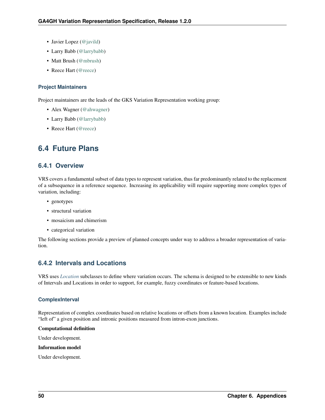- Javier Lopez [\(@javild\)](https://github.com/javild)
- Larry Babb [\(@larrybabb\)](https://github.com/larrybabb)
- Matt Brush [\(@mbrush\)](https://github.com/mbrush)
- Reece Hart [\(@reece\)](https://github.com/reece)

#### <span id="page-53-1"></span>**Project Maintainers**

Project maintainers are the leads of the GKS Variation Representation working group:

- Alex Wagner [\(@ahwagner\)](https://github.com/ahwagner)
- Larry Babb [\(@larrybabb\)](https://github.com/larrybabb)
- Reece Hart [\(@reece\)](https://github.com/reece)

# <span id="page-53-0"></span>**6.4 Future Plans**

### **6.4.1 Overview**

VRS covers a fundamental subset of data types to represent variation, thus far predominantly related to the replacement of a subsequence in a reference sequence. Increasing its applicability will require supporting more complex types of variation, including:

- genotypes
- structural variation
- mosaicism and chimerism
- categorical variation

The following sections provide a preview of planned concepts under way to address a broader representation of variation.

### **6.4.2 Intervals and Locations**

VRS uses *[Location](#page-17-0)* subclasses to define where variation occurs. The schema is designed to be extensible to new kinds of Intervals and Locations in order to support, for example, fuzzy coordinates or feature-based locations.

#### **ComplexInterval**

Representation of complex coordinates based on relative locations or offsets from a known location. Examples include "left of" a given position and intronic positions measured from intron-exon junctions.

#### Computational definition

Under development.

#### Information model

Under development.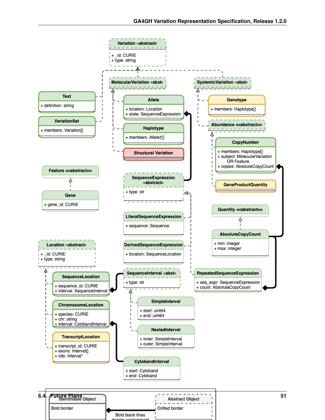

Dotted border

Bold black lines

Bold border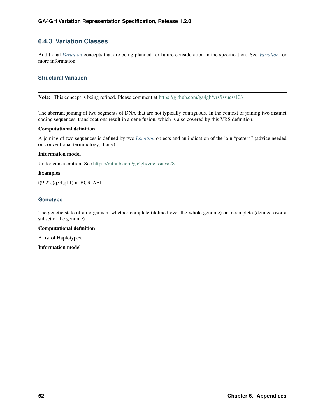### **6.4.3 Variation Classes**

Additional *[Variation](#page-9-2)* concepts that are being planned for future consideration in the specification. See *[Variation](#page-9-2)* for more information.

#### **Structural Variation**

Note: This concept is being refined. Please comment at <https://github.com/ga4gh/vrs/issues/103>

The aberrant joining of two segments of DNA that are not typically contiguous. In the context of joining two distinct coding sequences, translocations result in a gene fusion, which is also covered by this VRS definition.

#### Computational definition

A joining of two sequences is defined by two *[Location](#page-17-0)* objects and an indication of the join "pattern" (advice needed on conventional terminology, if any).

#### Information model

Under consideration. See [https://github.com/ga4gh/vrs/issues/28.](https://github.com/ga4gh/vrs/issues/28)

#### Examples

t(9;22)(q34;q11) in BCR-ABL

#### **Genotype**

The genetic state of an organism, whether complete (defined over the whole genome) or incomplete (defined over a subset of the genome).

#### Computational definition

A list of Haplotypes.

Information model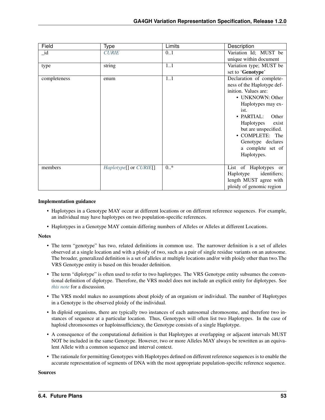| Field        | <b>Type</b>                                | <b>Limits</b> | Description                |
|--------------|--------------------------------------------|---------------|----------------------------|
| $_id$        | <b>CURIE</b>                               | 0.1           | Variation Id; MUST be      |
|              |                                            |               | unique within document     |
| type         | string                                     | 11            | Variation type; MUST be    |
|              |                                            |               | set to 'Genotype'          |
| completeness | enum                                       | 1.1           | Declaration of complete-   |
|              |                                            |               | ness of the Haplotype def- |
|              |                                            |               | inition. Values are:       |
|              |                                            |               | • UNKNOWN: Other           |
|              |                                            |               | Haplotypes may ex-         |
|              |                                            |               | ist.                       |
|              |                                            |               | • PARTIAL:<br>Other        |
|              |                                            |               | Haplotypes<br>exist        |
|              |                                            |               | but are unspecified.       |
|              |                                            |               | • COMPLETE: The            |
|              |                                            |               | Genotype declares          |
|              |                                            |               | a complete set of          |
|              |                                            |               | Haplotypes.                |
|              |                                            |               |                            |
| members      | Haplotype <sup>[]</sup> or <i>CURIE</i> [] | $0.*$         | List of Haplotypes or      |
|              |                                            |               | Haplotype<br>identifiers;  |
|              |                                            |               | length MUST agree with     |
|              |                                            |               | ploidy of genomic region   |

#### Implementation guidance

- Haplotypes in a Genotype MAY occur at different locations or on different reference sequences. For example, an individual may have haplotypes on two population-specific references.
- Haplotypes in a Genotype MAY contain differing numbers of Alleles or Alleles at different Locations.

#### **Notes**

- The term "genotype" has two, related definitions in common use. The narrower definition is a set of alleles observed at a single location and with a ploidy of two, such as a pair of single residue variants on an autosome. The broader, generalized definition is a set of alleles at multiple locations and/or with ploidy other than two.The VRS Genotype entity is based on this broader definition.
- The term "diplotype" is often used to refer to two haplotypes. The VRS Genotype entity subsumes the conventional definition of diplotype. Therefore, the VRS model does not include an explicit entity for diplotypes. See *[this note](#page-57-1)* for a discussion.
- The VRS model makes no assumptions about ploidy of an organism or individual. The number of Haplotypes in a Genotype is the observed ploidy of the individual.
- In diploid organisms, there are typically two instances of each autosomal chromosome, and therefore two instances of sequence at a particular location. Thus, Genotypes will often list two Haplotypes. In the case of haploid chromosomes or haploinsufficiency, the Genotype consists of a single Haplotype.
- A consequence of the computational definition is that Haplotypes at overlapping or adjacent intervals MUST NOT be included in the same Genotype. However, two or more Alleles MAY always be rewritten as an equivalent Allele with a common sequence and interval context.
- The rationale for permitting Genotypes with Haplotypes defined on different reference sequences is to enable the accurate representation of segments of DNA with the most appropriate population-specific reference sequence.

#### Sources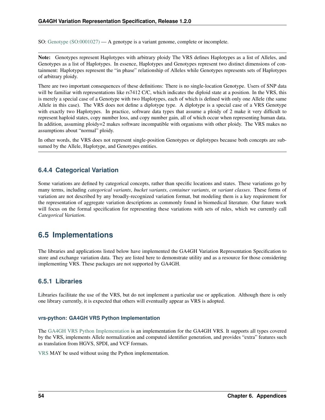<span id="page-57-1"></span>SO: [Genotype \(SO:0001027\)](http://www.sequenceontology.org/browser/current_svn/term/SO:0001027) — A genotype is a variant genome, complete or incomplete.

Note: Genotypes represent Haplotypes with arbitrary ploidy The VRS defines Haplotypes as a list of Alleles, and Genotypes as a list of Haplotypes. In essence, Haplotypes and Genotypes represent two distinct dimensions of containment: Haplotypes represent the "in phase" relationship of Alleles while Genotypes represents sets of Haplotypes of arbitrary ploidy.

There are two important consequences of these definitions: There is no single-location Genotype. Users of SNP data will be familiar with representations like rs7412 C/C, which indicates the diploid state at a position. In the VRS, this is merely a special case of a Genotype with two Haplotypes, each of which is defined with only one Allele (the same Allele in this case). The VRS does not define a diplotype type. A diplotype is a special case of a VRS Genotype with exactly two Haplotypes. In practice, software data types that assume a ploidy of 2 make it very difficult to represent haploid states, copy number loss, and copy number gain, all of which occur when representing human data. In addition, assuming ploidy=2 makes software incompatible with organisms with other ploidy. The VRS makes no assumptions about "normal" ploidy.

In other words, the VRS does not represent single-position Genotypes or diplotypes because both concepts are subsumed by the Allele, Haplotype, and Genotypes entities.

### **6.4.4 Categorical Variation**

Some variations are defined by categorical concepts, rather than specific locations and states. These variations go by many terms, including *categorical variants*, *bucket variants*, *container variants*, or *variant classes*. These forms of variation are not described by any broadly-recognized variation format, but modeling them is a key requirement for the representation of aggregate variation descriptions as commonly found in biomedical literature. Our future work will focus on the formal specification for representing these variations with sets of rules, which we currently call *Categorical Variation*.

### <span id="page-57-0"></span>**6.5 Implementations**

The libraries and applications listed below have implemented the GA4GH Variation Representation Specification to store and exchange variation data. They are listed here to demonstrate utility and as a resource for those considering implementing VRS. These packages are not supported by GA4GH.

### **6.5.1 Libraries**

Libraries facilitate the use of the VRS, but do not implement a particular use or application. Although there is only one library currently, it is expected that others will eventually appear as VRS is adopted.

#### **vrs-python: GA4GH VRS Python Implementation**

The [GA4GH VRS Python Implementation](https://github.com/ga4gh/vrs-python/) is an implementation for the GA4GH VRS. It supports all types covered by the VRS, implements Allele normalization and computed identifier generation, and provides "extra" features such as translation from HGVS, SPDI, and VCF formats.

[VRS](https://github.com/ga4gh/vrs/) MAY be used without using the Python implementation.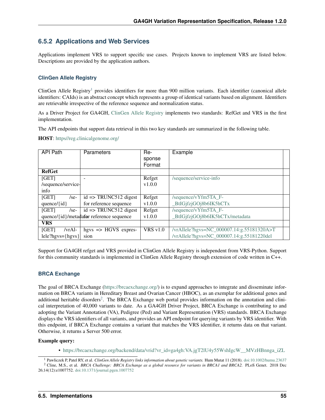### **6.5.2 Applications and Web Services**

Applications implement VRS to support specific use cases. Projects known to implement VRS are listed below. Descriptions are provided by the application authors.

#### **ClinGen Allele Registry**

ClinGen Allele Registry<sup>[1](#page-58-0)</sup> provides identifiers for more than 900 million variants. Each identifier (canonical allele identifiers: CAIds) is an abstract concept which represents a group of identical variants based on alignment. Identifiers are retrievable irrespective of the reference sequence and normalization status.

As a Driver Project for GA4GH, [ClinGen Allele Registry](https://reg.clinicalgenome.org) implements two standards: RefGet and VRS in the first implementation.

The API endpoints that support data retrieval in this two key standards are summarized in the following table.

HOST: [https//reg.clinicalgenome.org/](https://reg.clinicalgenome.org)

| <b>API Path</b>                          | Parameters                               | Re-             | Example                                   |  |
|------------------------------------------|------------------------------------------|-----------------|-------------------------------------------|--|
|                                          |                                          | sponse          |                                           |  |
|                                          |                                          | Format          |                                           |  |
| <b>RefGet</b>                            |                                          |                 |                                           |  |
| [GET]                                    |                                          | Refget          | /sequence/service-info                    |  |
| /sequence/service-                       |                                          | v1.0.0          |                                           |  |
| info                                     |                                          |                 |                                           |  |
| [GET]<br>$/$ se-                         | $id \Rightarrow TRUNC512 \text{ digest}$ | Refget          | /sequence/vYfm5TA_F-                      |  |
| quence/ $\{id\}$                         | for reference sequence                   | v1.0.0          | _BtIGjfzjGOj8b6IK5hCTx                    |  |
| [GET]<br>$/$ se-                         | $id \Rightarrow TRUNC512 \text{ digest}$ | Refget          | /sequence/vYfm5TA_F-                      |  |
| quence/{id}/metadafor reference sequence |                                          | v1.0.0          | _BtIGjfzjGOj8b6IK5hCTx/metadata           |  |
| <b>VRS</b>                               |                                          |                 |                                           |  |
| [GET]<br>/vrAl-                          | hgys $\Rightarrow$ HGVS expres-          | <b>VRS</b> v1.0 | /vrAllele?hgvs=NC_000007.14:g.55181320A>T |  |
| $lele?hgvs = {hgvs}$                     | sion                                     |                 | /vrAllele?hgvs=NC_000007.14:g.55181220del |  |

Support for GA4GH refget and VRS provided in ClinGen Allele Registry is independent from VRS-Python. Support for this community standards is implemented in ClinGen Allele Registry through extension of code written in C++.

#### **BRCA Exchange**

The goal of BRCA Exchange [\(https://brcaexchange.org/\)](https://brcaexchange.org/) is to expand approaches to integrate and disseminate information on BRCA variants in Hereditary Breast and Ovarian Cancer (HBOC), as an exemplar for additional genes and additional heritable disorders<sup>[2](#page-58-1)</sup>. The BRCA Exchange web portal provides information on the annotation and clinical interpretation of 40,000 variants to date. As a GA4GH Driver Project, BRCA Exchange is contributing to and adopting the Variant Annotation (VA), Pedigree (Ped) and Variant Representation (VRS) standards. BRCA Exchange displays the VRS identifiers of all variants, and provides an API endpoint for querying variants by VRS identifier. With this endpoint, if BRCA Exchange contains a variant that matches the VRS identifier, it returns data on that variant. Otherwise, it returns a Server 500 error.

#### Example query:

• [https://brcaexchange.org/backend/data/vrid?vr\\_id=ga4gh:VA.jgT2lU4y55WshIgcW\\_\\_MVzHBnnga\\_iZL](https://brcaexchange.org/backend/data/vrid?vr_id=ga4gh:VA.jgT2lU4y55WshIgcW__MVzHBnnga_iZL)

<sup>1</sup> Pawliczek P, Patel RY, et al. *ClinGen Allele Registry links information about genetic variants.* Hum Mutat 11 (2018). [doi:10.1002/humu.23637](https://onlinelibrary.wiley.com/doi/full/10.1002/humu.23637)

<span id="page-58-1"></span><span id="page-58-0"></span><sup>2</sup> Cline, M.S., et al. *BRCA Challenge: BRCA Exchange as a global resource for variants in BRCA1 and BRCA2.* PLoS Genet. 2018 Dec 26;14(12):e1007752. [doi:10.1371/journal.pgen.1007752](https://www.doi.org/10.1371/journal.pgen.1007752)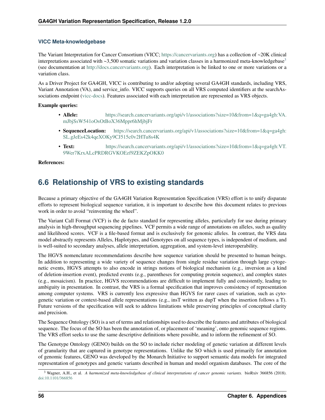#### **VICC Meta-knowledgebase**

The Variant Interpretation for Cancer Consortium (VICC; [https://cancervariants.org\)](https://cancervariants.org) has a collection of ~20K clinical interpretations associated with  $\sim$ [3](#page-59-1),500 somatic variations and variation classes in a harmonized meta-knowledgebase<sup>3</sup> (see documentation at [http://docs.cancervariants.org\)](http://docs.cancervariants.org). Each interpretation is be linked to one or more variations or a variation class.

As a Driver Project for GA4GH, VICC is contributing to and/or adopting several GA4GH standards, including VRS, Variant Annotation (VA), and service\_info. VICC supports queries on all VRS computed identifiers at the searchAssociations endpoint [\(vicc-docs\)](https://search.cancervariants.org/api/v1/ui/#!/Associations/searchAssociations). Features associated with each interpretation are represented as VRS objects.

#### Example queries:

- Allele: [https://search.cancervariants.org/api/v1/associations?size=10&from=1&q=ga4gh:VA.](https://search.cancervariants.org/api/v1/associations?size=10&from=1&q=ga4gh:VA.mJbjSsW541oOsOtBoX36Mppr6hMjbjFr) [mJbjSsW541oOsOtBoX36Mppr6hMjbjFr](https://search.cancervariants.org/api/v1/associations?size=10&from=1&q=ga4gh:VA.mJbjSsW541oOsOtBoX36Mppr6hMjbjFr)
- **SequenceLocation:** [https://search.cancervariants.org/api/v1/associations?size=10&from=1&q=ga4gh:](https://search.cancervariants.org/api/v1/associations?size=10&from=1&q=ga4gh:SL.gJeEs42k4qeXOKy9CJ515c0v2HTu8s4K) [SL.gJeEs42k4qeXOKy9CJ515c0v2HTu8s4K](https://search.cancervariants.org/api/v1/associations?size=10&from=1&q=ga4gh:SL.gJeEs42k4qeXOKy9CJ515c0v2HTu8s4K)
- Text: [https://search.cancervariants.org/api/v1/associations?size=10&from=1&q=ga4gh:VT.](https://search.cancervariants.org/api/v1/associations?size=10&from=1&q=ga4gh:VT.9Wer7KrxALcPRDRGVKOEzf9ZEKZpOKK0) [9Wer7KrxALcPRDRGVKOEzf9ZEKZpOKK0](https://search.cancervariants.org/api/v1/associations?size=10&from=1&q=ga4gh:VT.9Wer7KrxALcPRDRGVKOEzf9ZEKZpOKK0)

#### References:

# <span id="page-59-0"></span>**6.6 Relationship of VRS to existing standards**

Because a primary objective of the GA4GH Variation Representation Specification (VRS) effort is to unify disparate efforts to represent biological sequence variation, it is important to describe how this document relates to previous work in order to avoid "reinventing the wheel".

The Variant Call Format (VCF) is the de facto standard for representing alleles, particularly for use during primary analysis in high-throughput sequencing pipelines. VCF permits a wide range of annotations on alleles, such as quality and likelihood scores. VCF is a file-based format and is exclusively for genomic alleles. In contrast, the VRS data model abstractly represents Alleles, Haplotypes, and Genotypes on all sequence types, is independent of medium, and is well-suited to secondary analyses, allele interpretation, aggregation, and system-level interoperability.

The HGVS nomenclature recommendations describe how sequence variation should be presented to human beings. In addition to representing a wide variety of sequence changes from single residue variation through large cytogenetic events, HGVS attempts to also encode in strings notions of biological mechanism (e.g., inversion as a kind of deletion-insertion event), predicted events (e.g., parentheses for computing protein sequence), and complex states (e.g., mosaicism). In practice, HGVS recommendations are difficult to implement fully and consistently, leading to ambiguity in presentation. In contrast, the VRS is a formal specification that improves consistency of representation among computer systems. VRS is currently less expressive than HGVS for rarer cases of variation, such as cytogenetic variation or context-based allele representations (e.g., insT written as dupT when the insertion follows a T). Future versions of the specification will seek to address limitations while preserving principles of conceptual clarity and precision.

The Sequence Ontology (SO) is a set of terms and relationships used to describe the features and attributes of biological sequence. The focus of the SO has been the annotation of, or placement of 'meaning', onto genomic sequence regions. The VRS effort seeks to use the same descriptive definitions where possible, and to inform the refinement of SO.

The Genotype Ontology (GENO) builds on the SO to include richer modeling of genetic variation at different levels of granularity that are captured in genotype representations. Unlike the SO which is used primarily for annotation of genomic features, GENO was developed by the Monarch Initiative to support semantic data models for integrated representation of genotypes and genetic variants described in human and model organism databases. The core of the

<span id="page-59-1"></span><sup>3</sup> Wagner, A.H., et al. *A harmonized meta-knowledgebase of clinical interpretations of cancer genomic variants.* bioRxiv 366856 (2018). [doi:10.1101/366856](https://doi.org/10.1101/366856)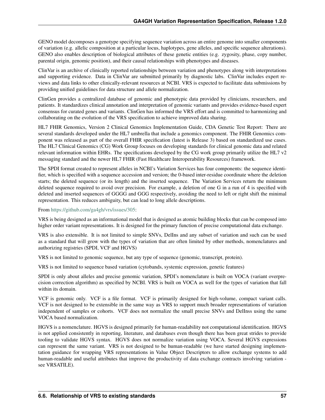GENO model decomposes a genotype specifying sequence variation across an entire genome into smaller components of variation (e.g. allelic composition at a particular locus, haplotypes, gene alleles, and specific sequence alterations). GENO also enables description of biological attributes of these genetic entities (e.g. zygosity, phase, copy number, parental origin, genomic position), and their causal relationships with phenotypes and diseases.

ClinVar is an archive of clinically reported relationships between variation and phenotypes along with interpretations and supporting evidence. Data in ClinVar are submitted primarily by diagnostic labs. ClinVar includes expert reviews and data links to other clinically-relevant resources at NCBI. VRS is expected to facilitate data submissions by providing unified guidelines for data structure and allele normalization.

ClinGen provides a centralized database of genomic and phenotypic data provided by clinicians, researchers, and patients. It standardizes clinical annotation and interpretation of genomic variants and provides evidence-based expert consensus for curated genes and variants. ClinGen has informed the VRS effort and is committed to harmonizing and collaborating on the evolution of the VRS specification to achieve improved data sharing.

HL7 FHIR Genomics, Version 2 Clinical Genomics Implementation Guide, CDA Genetic Test Report: There are several standards developed under the HL7 umbrella that include a genomics component. The FHIR Genomics component was released as part of the overall FHIR specification (latest is Release 3) based on standardized use cases. The HL7 Clinical Genomics (CG) Work Group focuses on developing standards for clinical genomic data and related relevant information within EHRs. The specifications developed by the CG work group primarily utilize the HL7  $v2$ messaging standard and the newer HL7 FHIR (Fast Healthcare Interoperability Resources) framework.

The SPDI format created to represent alleles in NCBI's Variation Services has four components: the sequence identifier, which is specified with a sequence accession and version; the 0-based inter-residue coordinate where the deletion starts; the deleted sequence (or its length) and the inserted sequence. The Variation Services return the minimum deleted sequence required to avoid over precision. For example, a deletion of one G in a run of 4 is specified with deleted and inserted sequences of GGGG and GGG respectively, avoiding the need to left or right shift the minimal representation. This reduces ambiguity, but can lead to long allele descriptions.

#### From [https://github.com/ga4gh/vrs/issues/305:](https://github.com/ga4gh/vrs/issues/305)

VRS is being designed as an informational model that is designed as atomic building blocks that can be composed into higher order variant representations. It is designed for the primary function of precise computational data exchange.

VRS is also extensible. It is not limited to simple SNVs, DelIns and any subset of variation and such can be used as a standard that will grow with the types of variation that are often limited by other methods, nomenclatures and authorizing registries (SPDI, VCF and HGVS)

VRS is not limited to genomic sequence, but any type of sequence (genomic, transcript, protein).

VRS is not limited to sequence based variation (cytobands, systemic expression, genetic features)

SPDI is only about alleles and precise genomic variation, SPDI's nomenclature is built on VOCA (variant overprecision correction algorithm) as specified by NCBI. VRS is built on VOCA as well for the types of variation that fall within its domain.

VCF is genomic only. VCF is a file format. VCF is primarily designed for high-volume, compact variant calls. VCF is not designed to be extensible in the same way as VRS to support much broader representations of variation independent of samples or cohorts. VCF does not normalize the small precise SNVs and DelInss using the same VOCA based normalization.

HGVS is a nomenclature. HGVS is designed primarily for human-readability not computational identification. HGVS is not applied consistently in reporting, literature, and databases even though there has been great strides to provide tooling to validate HGVS syntax. HGVS does not normalize variation using VOCA. Several HGVS expressions can represent the same variant. VRS is not designed to be human-readable (we have started designing implementation guidance for wrapping VRS representations in Value Object Descriptors to allow exchange systems to add human-readable and useful attributes that improve the productivity of data exchange contracts involving variation see VRSATILE).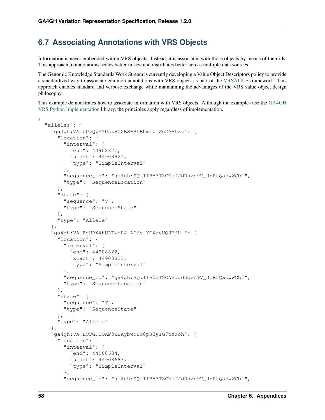# <span id="page-61-0"></span>**6.7 Associating Annotations with VRS Objects**

Information is never embedded within VRS objects. Instead, it is associated with those objects by means of their ids. This approach to annotations scales better in size and distributes better across multiple data sources.

The Genomic Knowledge Standards Work Stream is currently developing a Value Object Descriptors policy to provide a standardized way to associate common annotations with VRS objects as part of the [VRSATILE](https://vrsatile.readthedocs.io/en/latest/index.html) framework. This approach enables standard and verbose exchange while maintaining the advantages of the VRS value object design philosophy.

This example demonstrates how to associate information with VRS objects. Although the examples use the [GA4GH](https://github.com/ga4gh/vrs-python/) [VRS Python Implementation](https://github.com/ga4gh/vrs-python/) library, the principles apply regardless of implementation.

```
{
 "alleles": {
   "ga4gh:VA.UUvQpMYU5x8XXBS-RhBhmipTWe2AALzj": {
      "location": {
        "interval": {
          "end": 44908822,
          "start": 44908821,
          "type": "SimpleInterval"
       },
        "sequence_id": "ga4gh:SQ.IIB53T8CNeJJdUqzn9V_JnRtQadwWCbl",
        "type": "SequenceLocation"
     },
      "state": {
       "sequence": "C",
        "type": "SequenceState"
     },
      "type": "Allele"
   },
   "ga4gh:VA.EgHPXXhULTwoP4-ACfs-YCXaeUQJBjH_": {
      "location": {
        "interval": {
          "end": 44908822,
          "start": 44908821,
          "type": "SimpleInterval"
        },
        "sequence_id": "ga4gh:SQ.IIB53T8CNeJJdUqzn9V_JnRtQadwWCbl",
       "type": "SequenceLocation"
     },
      "state": {
       "sequence": "T",
        "type": "SequenceState"
     },
      "type": "Allele"
   },
   "ga4gh:VA.LQrGFIOAP8wEAybwNBo8pJ3yIG7tXWoh": {
      "location": {
        "interval": {
          "end": 44908684,
          "start": 44908683,
          "type": "SimpleInterval"
        },
        "sequence_id": "ga4gh:SQ.IIB53T8CNeJJdUqzn9V_JnRtQadwWCbl",
```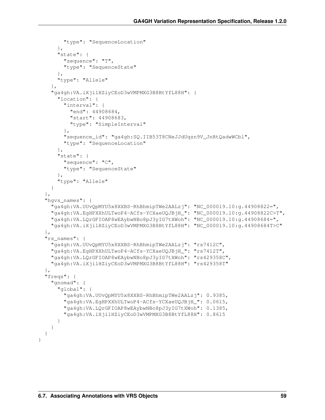```
"type": "SequenceLocation"
    },
    "state": {
      "sequence": "T",
      "type": "SequenceState"
    },
    "type": "Allele"
  },
  "ga4gh:VA.iXjilHZiyCEoD3wVMPMXG3B8BtYfL88H": {
    "location": {
      "interval": {
        "end": 44908684,
        "start": 44908683,
        "type": "SimpleInterval"
      },
      "sequence_id": "ga4gh:SQ.IIB53T8CNeJJdUqzn9V_JnRtQadwWCbl",
      "type": "SequenceLocation"
    },
    "state": {
      "sequence": "C",
      "type": "SequenceState"
    },
    "type": "Allele"
  }
},
"hqvs names": {
  "ga4gh:VA.UUvQpMYU5x8XXBS-RhBhmipTWe2AALzj": "NC_000019.10:g.44908822=",
  "ga4gh:VA.EgHPXXhULTwoP4-ACfs-YCXaeUQJBjH_": "NC_000019.10:g.44908822C>T",
  "ga4gh:VA.LQrGFIOAP8wEAybwNBo8pJ3yIG7tXWoh": "NC_000019.10:g.44908684=",
  "ga4gh:VA.iXjilHZiyCEoD3wVMPMXG3B8BtYfL88H": "NC_000019.10:g.44908684T>C"
},
"rs_names": {
  "ga4gh:VA.UUvQpMYU5x8XXBS-RhBhmipTWe2AALzj": "rs7412C",
  "ga4gh:VA.EgHPXXhULTwoP4-ACfs-YCXaeUQJBjH_": "rs7412T",
  "ga4gh:VA.LQrGFIOAP8wEAybwNBo8pJ3yIG7tXWoh": "rs429358C",
  "ga4gh:VA.iXjilHZiyCEoD3wVMPMXG3B8BtYfL88H": "rs429358T"
},
"freqs": {
  "gnomad": {
    "global": {
      "ga4gh:VA.UUvQpMYU5x8XXBS-RhBhmipTWe2AALzj": 0.9385,
      "ga4gh:VA.EgHPXXhULTwoP4-ACfs-YCXaeUQJBjH_": 0.0615,
      "ga4gh:VA.LQrGFIOAP8wEAybwNBo8pJ3yIG7tXWoh": 0.1385,
      "ga4gh:VA.iXjilHZiyCEoD3wVMPMXG3B8BtYfL88H": 0.8615
    }
  }
}
```
}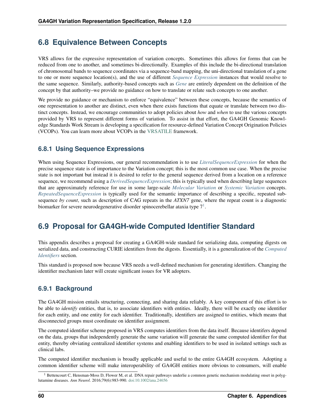# **6.8 Equivalence Between Concepts**

VRS allows for the expressive representation of variation concepts. Sometimes this allows for forms that can be reduced from one to another, and sometimes bi-directionally. Examples of this include the bi-directional translation of chromosomal bands to sequence coordinates via a sequence-band mapping, the uni-directional translation of a gene to one or more sequence location(s), and the use of different *[Sequence Expression](#page-21-1)* instances that would resolve to the same sequence. Similarly, authority-based concepts such as *[Gene](#page-23-0)* are entirely dependent on the definition of the concept by that authority–we provide no guidance on how to translate or relate such concepts to one another.

We provide no guidance or mechanism to enforce "equivalence" between these concepts, because the semantics of one representation to another are distinct, even when there exists functions that equate or translate between two distinct concepts. Instead, we encourage communities to adopt policies about *how* and *when* to use the various concepts provided by VRS to represent different forms of variation. To assist in that effort, the GA4GH Genomic Knowledge Standards Work Stream is developing a specification for resource-defined Variation Concept Origination Policies (VCOPs). You can learn more about VCOPs in the [VRSATILE](https://vrsatile.readthedocs.io/en/latest/index.html) framework.

### **6.8.1 Using Sequence Expressions**

When using Sequence Expressions, our general recommendation is to use *[LiteralSequenceExpression](#page-21-0)* for when the precise sequence state is of importance to the Variation concept; this is the most common use case. When the precise state is not important but instead it is desired to refer to the general sequence derived from a location on a reference sequence, we recommend using a *[DerivedSequenceExpression](#page-22-0)*; this is typically used when describing large sequences that are approximately reference for use in some large-scale *[Molecular Variation](#page-9-1)* or *[Systemic Variation](#page-13-1)* concepts. *[RepeatedSequenceExpression](#page-22-1)* is typically used for the semantic importance of describing a specific, repeated subsequence *by count*, such as description of CAG repeats in the *ATXN7* gene, where the repeat count is a diagnostic biomarker for severe neurodegenerative disorder spinocerebellar ataxia type  $7<sup>1</sup>$  $7<sup>1</sup>$  $7<sup>1</sup>$ .

# **6.9 Proposal for GA4GH-wide Computed Identifier Standard**

This appendix describes a proposal for creating a GA4GH-wide standard for serializing data, computing digests on serialized data, and constructing CURIE identifiers from the digests. Essentially, it is a generalization of the *[Computed](#page-36-0) [Identifiers](#page-36-0)* section.

This standard is proposed now because VRS needs a well-defined mechanism for generating identifiers. Changing the identifier mechanism later will create significant issues for VR adopters.

### **6.9.1 Background**

The GA4GH mission entails structuring, connecting, and sharing data reliably. A key component of this effort is to be able to *identify* entities, that is, to associate identifiers with entities. Ideally, there will be exactly one identifier for each entity, and one entity for each identifier. Traditionally, identifiers are assigned to entities, which means that disconnected groups must coordinate on identifier assignment.

The computed identifier scheme proposed in VRS computes identifiers from the data itself. Because identifers depend on the data, groups that independently generate the same variation will generate the same computed identifier for that entity, thereby obviating centralized identifier systems and enabling identifiers to be used in isolated settings such as clinical labs.

The computed identifier mechanism is broadly applicable and useful to the entire GA4GH ecosystem. Adopting a common identifier scheme will make interoperability of GA4GH entities more obvious to consumers, will enable

<span id="page-63-0"></span><sup>&</sup>lt;sup>1</sup> Bettencourt C, Hensman-Moss D, Flower M, et al. DNA repair pathways underlie a common genetic mechanism modulating onset in polyglutamine diseases. *Ann Neurol*. 2016;79(6):983-990. [doi:10.1002/ana.24656](https://doi.org/10.1002/ana.24656)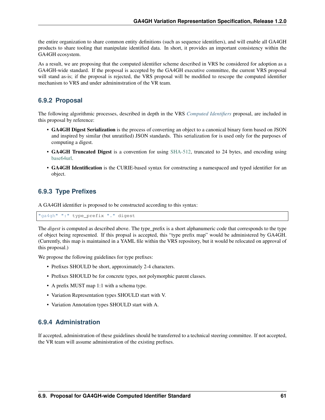the entire organization to share common entity definitions (such as sequence identifiers), and will enable all GA4GH products to share tooling that manipulate identified data. In short, it provides an important consistency within the GA4GH ecosystem.

As a result, we are proposing that the computed identifier scheme described in VRS be considered for adoption as a GA4GH-wide standard. If the proposal is accepted by the GA4GH executive committee, the current VRS proposal will stand as-is; if the proposal is rejected, the VRS proposal will be modified to rescope the computed identifier mechanism to VRS and under admininstration of the VR team.

### **6.9.2 Proposal**

The following algorithmic processes, described in depth in the VRS *[Computed Identifiers](#page-36-0)* proposal, are included in this proposal by reference:

- GA4GH Digest Serialization is the process of converting an object to a canonical binary form based on JSON and inspired by similar (but unratified) JSON standards. This serialization for is used only for the purposes of computing a digest.
- GA4GH Truncated Digest is a convention for using [SHA-512,](https://nvlpubs.nist.gov/nistpubs/FIPS/NIST.FIPS.180-4.pdf) truncated to 24 bytes, and encoding using [base64url.](https://tools.ietf.org/html/rfc4648#section-5)
- GA4GH Identification is the CURIE-based syntax for constructing a namespaced and typed identifier for an object.

### **6.9.3 Type Prefixes**

A GA4GH identifier is proposed to be constructed according to this syntax:

```
"ga4gh" ":" type_prefix "." digest
```
The *digest* is computed as described above. The type\_prefix is a short alphanumeric code that corresponds to the type of object being represented. If this propsal is accepted, this "type prefix map" would be administered by GA4GH. (Currently, this map is maintained in a YAML file within the VRS repository, but it would be relocated on approval of this proposal.)

We propose the following guidelines for type prefixes:

- Prefixes SHOULD be short, approximately 2-4 characters.
- Prefixes SHOULD be for concrete types, not polymorphic parent classes.
- A prefix MUST map 1:1 with a schema type.
- Variation Representation types SHOULD start with V.
- Variation Annotation types SHOULD start with A.

### **6.9.4 Administration**

If accepted, administration of these guidelines should be transferred to a technical steering committee. If not accepted, the VR team will assume administration of the existing prefixes.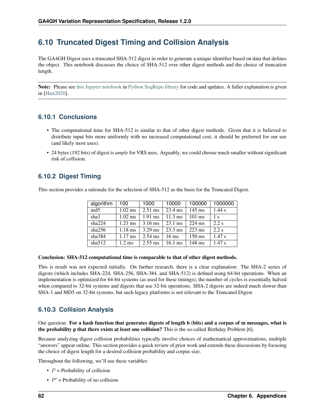# <span id="page-65-0"></span>**6.10 Truncated Digest Timing and Collision Analysis**

The GA4GH Digest uses a truncated SHA-512 digest in order to generate a unique identifier based on data that defines the object. This notebook discusses the choice of SHA-512 over other digest methods and the choice of truncation length.

Note: Please see [this Jupyter notebook](https://github.com/biocommons/biocommons.seqrepo/blob/master/docs/Truncated%20Digest%20Collision%20Analysis.ipynb) in [Python SeqRepo library](https://github.com/biocommons/biocommons.seqrepo) for code and updates. A fuller explanation is given in [\[Hart2020\]](#page-72-3).

### **6.10.1 Conclusions**

- The computational time for SHA-512 is similar to that of other digest methods. Given that it is believed to distribute input bits more uniformly with no increased computational cost, it should be preferred for our use (and likely most uses).
- 24 bytes (192 bits) of digest is *ample* for VRS uses. Arguably, we could choose much smaller without significant risk of collision.

### **6.10.2 Digest Timing**

This section provides a rationale for the selection of SHA-512 as the basis for the Truncated Digest.

| algorithm       | 100               | 1000      | 10000             | 100000           | 1000000        |
|-----------------|-------------------|-----------|-------------------|------------------|----------------|
| md <sub>5</sub> | $1.02$ ms         | $2.51$ ms | 23.4 ms           | $145$ ms         | 1.44 s         |
| sha1            | $1.02$ ms         | $1.91$ ms | $11.3 \text{ ms}$ | $101$ ms         | 1 <sub>s</sub> |
| sha224          | $1.21$ ms         | $3.16$ ms | $23.1 \text{ ms}$ | $224$ ms         | $2.2$ s        |
| sha256          | $1.18 \text{ ms}$ | $3.29$ ms | $23.3 \text{ ms}$ | $223$ ms         | $2.2$ s        |
| sha384          | $1.17$ ms         | $2.54$ ms | $16 \text{ ms}$   | $150 \text{ ms}$ | 1.47 s         |
| sha512          | $1.2 \text{ ms}$  | $2.55$ ms | $16.1 \text{ ms}$ | $148$ ms         | 1.47 s         |

#### Conclusion: SHA-512 computational time is comparable to that of other digest methods.

This is result was not expected initially. On further research, there is a clear explanation: The SHA-2 series of digests (which includes SHA-224, SHA-256, SHA-384, and SHA-512) is defined using 64-bit operations. When an implementation is optimized for 64-bit systems (as used for these timings), the number of cycles is essentially halved when compared to 32-bit systems and digests that use 32-bit operations. SHA-2 digests are indeed much slower than SHA-1 and MD5 on 32-bit systems, but such legacy platforms is not relevant to the Truncated Digest.

### **6.10.3 Collision Analysis**

Our question: For a hash function that generates digests of length b (bits) and a corpus of m messages, what is the probability p that there exists at least one collision? This is the so-called Birthday Problem [6].

Because analyzing digest collision probabilities typically involve choices of mathematical approximations, multiple "answers" appear online. This section provides a quick review of prior work and extends these discussions by focusing the choice of digest length for a desired collision probability and corpus size.

Throughout the following, we'll use these variables:

- $P =$  Probability of collision
- $P'$  = Probability of no collision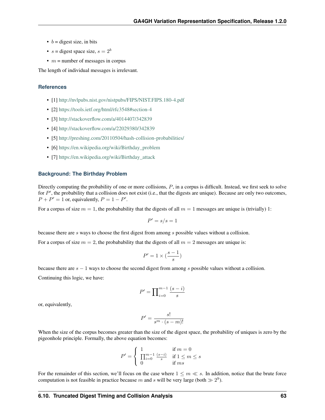- $b =$  digest size, in bits
- $s = \text{digest space size}, s = 2^b$
- $m =$  number of messages in corpus

The length of individual messages is irrelevant.

#### **References**

- [1] <http://nvlpubs.nist.gov/nistpubs/FIPS/NIST.FIPS.180-4.pdf>
- [2] <https://tools.ietf.org/html/rfc3548#section-4>
- [3] <http://stackoverflow.com/a/4014407/342839>
- [4] <http://stackoverflow.com/a/22029380/342839>
- [5] <http://preshing.com/20110504/hash-collision-probabilities/>
- [6] [https://en.wikipedia.org/wiki/Birthday\\_problem](https://en.wikipedia.org/wiki/Birthday_problem)
- [7] https://en.wikipedia.org/wiki/Birthday attack

#### **Background: The Birthday Problem**

Directly computing the probability of one or more collisions,  $P$ , in a corpus is difficult. Instead, we first seek to solve for  $P'$ , the probability that a collision does not exist (i.e., that the digests are unique). Because are only two outcomes,  $P + P' = 1$  or, equivalently,  $P = 1 - P'$ .

For a corpus of size  $m = 1$ , the probabability that the digests of all  $m = 1$  messages are unique is (trivially) 1:

$$
P'=s/s=1
$$

because there are  $s$  ways to choose the first digest from among  $s$  possible values without a collision.

For a corpus of size  $m = 2$ , the probabability that the digests of all  $m = 2$  messages are unique is:

$$
P'=1\times (\frac{s-1}{s})
$$

because there are  $s - 1$  ways to choose the second digest from among s possible values without a collision.

Continuing this logic, we have:

$$
P' = \prod_{i=0}^{m-1} \frac{(s-i)}{s}
$$

or, equivalently,

$$
P' = \frac{s!}{s^m \cdot (s-m)!}
$$

When the size of the corpus becomes greater than the size of the digest space, the probability of uniques is zero by the pigeonhole principle. Formally, the above equation becomes:

$$
P' = \begin{cases} 1 & \text{if } m = 0\\ \prod_{i=0}^{m-1} \frac{(s-i)}{s} & \text{if } 1 \le m \le s\\ 0 & \text{if } ms \end{cases}
$$

For the remainder of this section, we'll focus on the case where  $1 \le m \le s$ . In addition, notice that the brute force computation is not feasible in practice because m and s will be very large (both  $\gg 2^9$ ).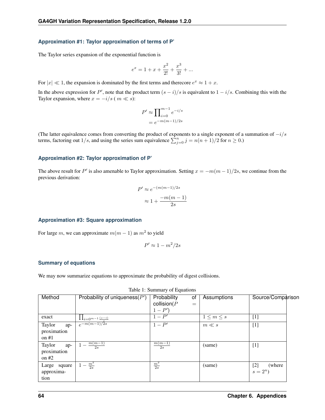#### **Approximation #1: Taylor approximation of terms of P'**

The Taylor series expansion of the exponential function is

$$
e^x = 1 + x + \frac{x^2}{2!} + \frac{x^3}{3!} + \dots
$$

For  $|x| \ll 1$ , the expansion is dominated by the first terms and therecore  $e^x \approx 1 + x$ .

In the above expression for P', note that the product term  $(s - i)/s$  is equivalent to  $1 - i/s$ . Combining this with the Taylor expansion, where  $x = -i/s$  ( $m \ll s$ ):

$$
P' \approx \prod_{i=0}^{m-1} e^{-i/s}
$$

$$
= e^{-m(m-1)/2s}
$$

(The latter equivalence comes from converting the product of exponents to a single exponent of a summation of  $-i/s$ terms, factoring out 1/s, and using the series sum equivalence  $\sum_{j=0}^{n} j = n(n+1)/2$  for  $n \ge 0$ .)

#### **Approximation #2: Taylor approximation of P'**

The above result for P' is also amenable to Taylor approximation. Setting  $x = -m(m-1)/2s$ , we continue from the previous derivation:

$$
P' \approx e^{-(m(m-1)/2s)}
$$

$$
\approx 1 + \frac{-m(m-1)}{2s}
$$

#### **Approximation #3: Square approximation**

For large m, we can approximate  $m(m - 1)$  as  $m<sup>2</sup>$  to yield

$$
P' \approx 1 - m^2/2s
$$

#### **Summary of equations**

We may now summarize equations to approximate the probability of digest collisions.

| Method        | Probability of uniqueness( $P'$ )                         | Probability<br>οf     | Assumptions       | Source/Comparison |
|---------------|-----------------------------------------------------------|-----------------------|-------------------|-------------------|
|               |                                                           | collision( $P$<br>$=$ |                   |                   |
|               |                                                           | $1 - P'$              |                   |                   |
| exact         | $\frac{\prod_{i=0^{m-1}\frac{(s-i)}{s}}}{e^{-m(m-1)/2s}}$ | $1-P'$                | $1 \leq m \leq s$ | $[1]$             |
| Taylor<br>ap- |                                                           | $1-P'$                | $m \ll s$         | $[1]$             |
| proximation   |                                                           |                       |                   |                   |
| on $#1$       |                                                           |                       |                   |                   |
| Taylor<br>ap- | $m(m-1)$<br>2s                                            | $m(m-1)$<br>2s        | (same)            | $[1]$             |
| proximation   |                                                           |                       |                   |                   |
| on $#2$       |                                                           |                       |                   |                   |
| Large square  | $1 - \frac{m^2}{2s}$                                      | $\frac{m^2}{2s}$      | (same)            | $[2]$<br>(where)  |
| approxima-    |                                                           |                       |                   | $s=2^n$           |
| tion          |                                                           |                       |                   |                   |

Table 1: Summary of Equations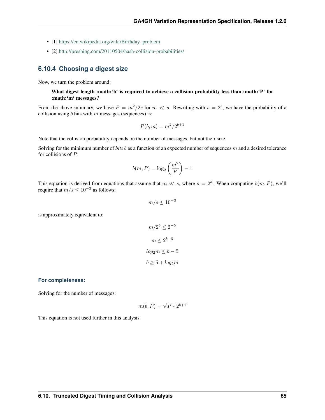- [1] [https://en.wikipedia.org/wiki/Birthday\\_problem](https://en.wikipedia.org/wiki/Birthday_problem)
- [2] <http://preshing.com/20110504/hash-collision-probabilities/>

#### **6.10.4 Choosing a digest size**

Now, we turn the problem around:

#### What digest length :math:'b' is required to achieve a collision probability less than :math:'P' for :math:'m' messages?

From the above summary, we have  $P = m^2/2s$  for  $m \ll s$ . Rewriting with  $s = 2^b$ , we have the probability of a collision using  $b$  bits with  $m$  messages (sequences) is:

$$
P(b,m) = m^2/2^{b+1}
$$

Note that the collision probability depends on the number of messages, but not their size.

Solving for the minimum number of *bits*  $b$  as a function of an expected number of sequences  $m$  and a desired tolerance for collisions of  $P$ :

$$
b(m, P) = \log_2\left(\frac{m^2}{P}\right) - 1
$$

This equation is derived from equations that assume that  $m \ll s$ , where  $s = 2<sup>b</sup>$ . When computing  $b(m, P)$ , we'll require that  $m/s \leq 10^{-3}$  as follows:

$$
m/s \le 10^{-3}
$$

is approximately equivalent to:

$$
m/2^{b} \le 2^{-5}
$$

$$
m \le 2^{b-5}
$$

$$
log_2 m \le b-5
$$

$$
b \ge 5 + log_2 m
$$

#### **For completeness:**

Solving for the number of messages:

$$
m(b, P) = \sqrt{P * 2^{b+1}}
$$

This equation is not used further in this analysis.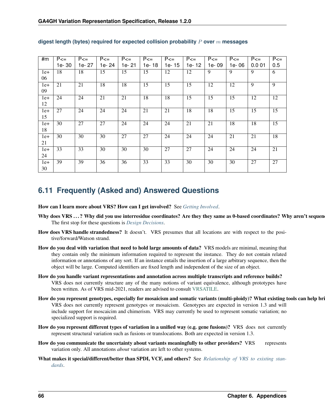| #m    | $P \leq 1$ | $P \leq 1$ | $P \leq 1$ | $P \leq 1$ | $P \leq 1$ | $P \leq 1$ | $P \leq 1$ | $P \leq 1$ | $P \leq 1$ | $P \leq 1$ | $P \leq 1$      |
|-------|------------|------------|------------|------------|------------|------------|------------|------------|------------|------------|-----------------|
|       | 1e-30      | 1e-27      | 1e-24      | 1e-21      | 1e-18      | 1e-15      | 1e-12      | 1e-09      | 1e-06      | 0.001      | 0.5             |
| $1e+$ | 18         | 18         | 15         | 15         | 15         | 12         | 12         | 9          | 9          | 9          | 6               |
| 06    |            |            |            |            |            |            |            |            |            |            |                 |
| $1e+$ | 21         | 21         | 18         | 18         | 15         | 15         | 15         | 12         | 12         | 9          | 9               |
| 09    |            |            |            |            |            |            |            |            |            |            |                 |
| $1e+$ | 24         | 24         | 21         | 21         | 18         | 18         | 15         | 15         | 15         | 12         | 12              |
| 12    |            |            |            |            |            |            |            |            |            |            |                 |
| $1e+$ | 27         | 24         | 24         | 24         | 21         | 21         | 18         | 18         | 15         | 15         | $\overline{15}$ |
| 15    |            |            |            |            |            |            |            |            |            |            |                 |
| $1e+$ | 30         | 27         | 27         | 24         | 24         | 24         | 21         | 21         | 18         | 18         | 15              |
| 18    |            |            |            |            |            |            |            |            |            |            |                 |
| $1e+$ | 30         | 30         | 30         | 27         | 27         | 24         | 24         | 24         | 21         | 21         | 18              |
| 21    |            |            |            |            |            |            |            |            |            |            |                 |
| $1e+$ | 33         | 33         | 30         | 30         | 30         | 27         | 27         | 24         | 24         | 24         | 21              |
| 24    |            |            |            |            |            |            |            |            |            |            |                 |
| $1e+$ | 39         | 39         | 36         | 36         | 33         | 33         | 30         | 30         | 30         | 27         | 27              |
| 30    |            |            |            |            |            |            |            |            |            |            |                 |

#### **digest length (bytes) required for expected collision probability over messages**

# **6.11 Frequently (Asked and) Answered Questions**

How can I learn more about VRS? How can I get involved? See *[Getting Involved](#page-48-0)*.

- Why does VRS ...? Why did you use interresidue coordinates? Are they they same as 0-based coordinates? Why aren't sequen The first stop for these questions is *[Design Decisions](#page-48-1)*.
- How does VRS handle strandedness? It doesn't. VRS presumes that all locations are with respect to the positive/forward/Watson strand.
- How do you deal with variation that need to hold large amounts of data? VRS models are minimal, meaning that they contain only the minimum information required to represent the instance. They do not contain related information or annotations of any sort. If an instance entails the insertion of a large arbitrary sequence, then the object will be large. Computed identifiers are fixed length and independent of the size of an object.
- How do you handle variant representations and annotation across multiple transcripts and reference builds? VRS does not currently structure any of the many notions of variant equivalence, although prototypes have been written. As of VRS mid-2021, readers are advised to consult [VRSATILE.](https://github.com/ga4gh/vrsatile)
- How do you represent genotypes, especially for mosaicism and somatic variants (multi-ploidy)? What existing tools can help bri VRS does not currently represent genotypes or mosaicism. Genotypes are expected in version 1.3 and will include support for moscaicim and chimerism. VRS may currently be used to represent somatic variation; no specialized support is required.
- How do you represent different types of variation in a unified way (e.g. gene fusions)? VRS does not currently represent structural variation such as fusions or translocations. Both are expected in version 1.3.
- How do you communicate the uncertainty about variants meaningfully to other providers? VRS represents variation only. All annotations *about* variation are left to other systems.
- What makes it special/different/better than SPDI, VCF, and others? See *[Relationship of VRS to existing stan](#page-59-0)[dards](#page-59-0)*.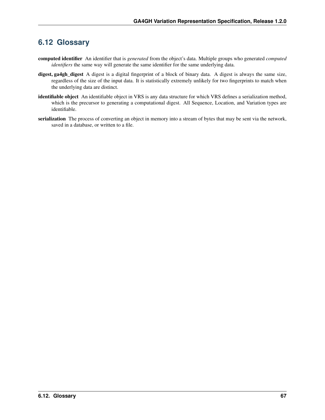# **6.12 Glossary**

- computed identifier An identifier that is *generated* from the object's data. Multiple groups who generated *computed identifiers* the same way will generate the same identifier for the same underlying data.
- digest, ga4gh\_digest A digest is a digital fingerprint of a block of binary data. A digest is always the same size, regardless of the size of the input data. It is statistically extremely unlikely for two fingerprints to match when the underlying data are distinct.
- <span id="page-70-0"></span>identifiable object An identifiable object in VRS is any data structure for which VRS defines a serialization method, which is the precursor to generating a computational digest. All Sequence, Location, and Variation types are identifiable.
- serialization The process of converting an object in memory into a stream of bytes that may be sent via the network, saved in a database, or written to a file.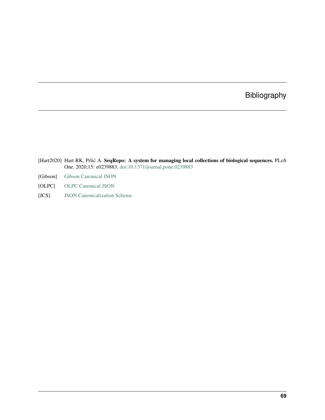# Bibliography

- [Hart2020] Hart RK, Prlić A. SeqRepo: A system for managing local collections of biological sequences. PLoS One. 2020;15: e0239883. [doi:10.1371/journal.pone.0239883](https://journals.plos.org/plosone/article/comments?id=10.1371/journal.pone.0239883)
- [Gibson] [Gibson Canonical JSON](http://gibson042.github.io/canonicaljson-spec/)
- [OLPC] [OLPC Canonical JSON](http://wiki.laptop.org/go/Canonical_JSON)
- [JCS] [JSON Canonicalization Scheme](https://tools.ietf.org/html/draft-rundgren-json-canonicalization-scheme-05)